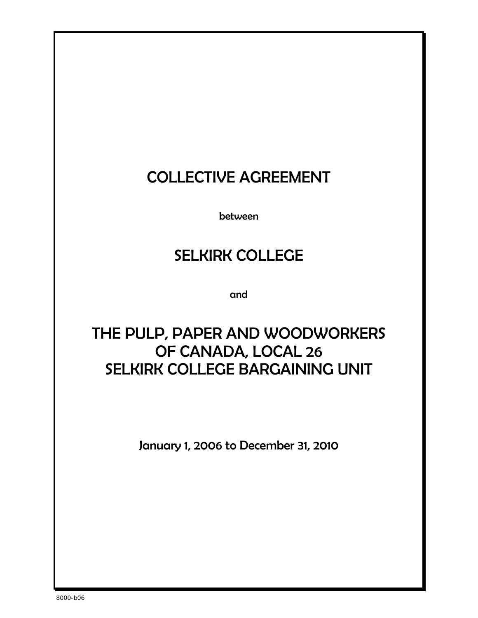# COLLECTIVE AGREEMENT

between

# SELKIRK COLLEGE

and

# THE PULP, PAPER AND WOODWORKERS OF CANADA, LOCAL 26 SELKIRK COLLEGE BARGAINING UNIT

January 1, 2006 to December 31, 2010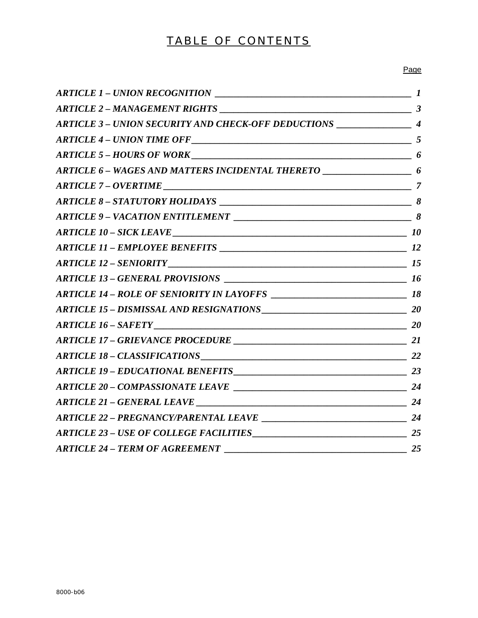# TABLE OF CONTENTS

### Page

| ARTICLE 3 - UNION SECURITY AND CHECK-OFF DEDUCTIONS ______________________ 4 |  |
|------------------------------------------------------------------------------|--|
|                                                                              |  |
| ARTICLE 5 - HOURS OF WORK                                                    |  |
|                                                                              |  |
| $ARTICE 7 - OVERTIME \_$                                                     |  |
|                                                                              |  |
|                                                                              |  |
|                                                                              |  |
|                                                                              |  |
|                                                                              |  |
|                                                                              |  |
|                                                                              |  |
|                                                                              |  |
|                                                                              |  |
|                                                                              |  |
|                                                                              |  |
|                                                                              |  |
|                                                                              |  |
|                                                                              |  |
|                                                                              |  |
|                                                                              |  |
| $\overline{\phantom{a}25}$<br><b>ARTICLE 24 - TERM OF AGREEMENT</b>          |  |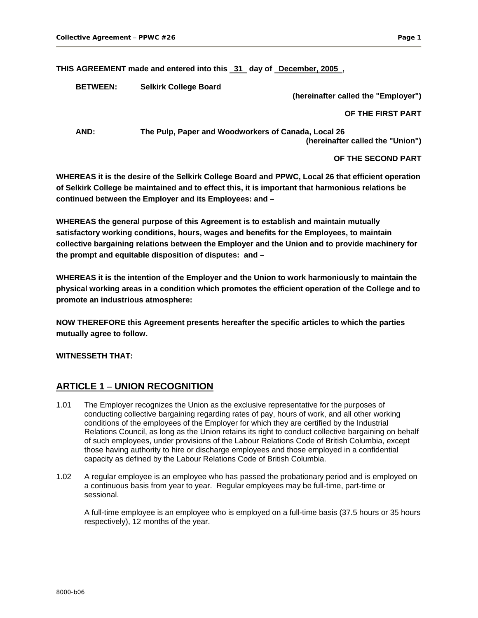**THIS AGREEMENT made and entered into this 31 day of December, 2005 ,** 

**BETWEEN: Selkirk College Board** 

**(hereinafter called the "Employer")** 

#### **OF THE FIRST PART**

**AND: The Pulp, Paper and Woodworkers of Canada, Local 26 (hereinafter called the "Union")** 

#### **OF THE SECOND PART**

**WHEREAS it is the desire of the Selkirk College Board and PPWC, Local 26 that efficient operation of Selkirk College be maintained and to effect this, it is important that harmonious relations be continued between the Employer and its Employees: and –** 

**WHEREAS the general purpose of this Agreement is to establish and maintain mutually satisfactory working conditions, hours, wages and benefits for the Employees, to maintain collective bargaining relations between the Employer and the Union and to provide machinery for the prompt and equitable disposition of disputes: and –** 

**WHEREAS it is the intention of the Employer and the Union to work harmoniously to maintain the physical working areas in a condition which promotes the efficient operation of the College and to promote an industrious atmosphere:** 

**NOW THEREFORE this Agreement presents hereafter the specific articles to which the parties mutually agree to follow.** 

**WITNESSETH THAT:**

# **ARTICLE 1 – UNION RECOGNITION**

- 1.01 The Employer recognizes the Union as the exclusive representative for the purposes of conducting collective bargaining regarding rates of pay, hours of work, and all other working conditions of the employees of the Employer for which they are certified by the Industrial Relations Council, as long as the Union retains its right to conduct collective bargaining on behalf of such employees, under provisions of the Labour Relations Code of British Columbia, except those having authority to hire or discharge employees and those employed in a confidential capacity as defined by the Labour Relations Code of British Columbia.
- 1.02 A regular employee is an employee who has passed the probationary period and is employed on a continuous basis from year to year. Regular employees may be full-time, part-time or sessional.

A full-time employee is an employee who is employed on a full-time basis (37.5 hours or 35 hours respectively), 12 months of the year.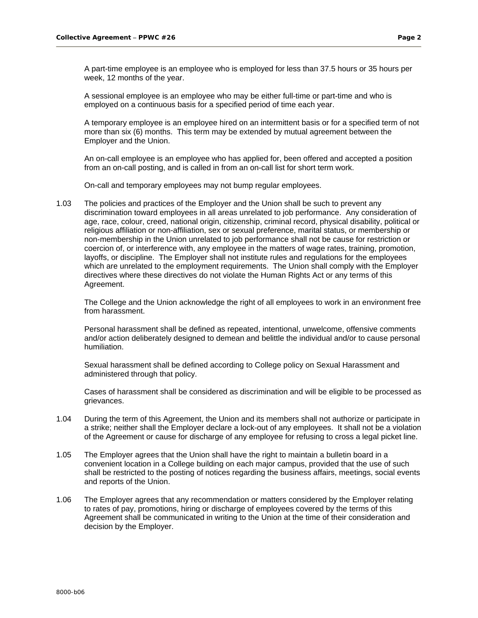A part-time employee is an employee who is employed for less than 37.5 hours or 35 hours per week, 12 months of the year.

A sessional employee is an employee who may be either full-time or part-time and who is employed on a continuous basis for a specified period of time each year.

A temporary employee is an employee hired on an intermittent basis or for a specified term of not more than six (6) months. This term may be extended by mutual agreement between the Employer and the Union.

An on-call employee is an employee who has applied for, been offered and accepted a position from an on-call posting, and is called in from an on-call list for short term work.

On-call and temporary employees may not bump regular employees.

1.03 The policies and practices of the Employer and the Union shall be such to prevent any discrimination toward employees in all areas unrelated to job performance. Any consideration of age, race, colour, creed, national origin, citizenship, criminal record, physical disability, political or religious affiliation or non-affiliation, sex or sexual preference, marital status, or membership or non-membership in the Union unrelated to job performance shall not be cause for restriction or coercion of, or interference with, any employee in the matters of wage rates, training, promotion, layoffs, or discipline. The Employer shall not institute rules and regulations for the employees which are unrelated to the employment requirements. The Union shall comply with the Employer directives where these directives do not violate the Human Rights Act or any terms of this Agreement.

The College and the Union acknowledge the right of all employees to work in an environment free from harassment.

Personal harassment shall be defined as repeated, intentional, unwelcome, offensive comments and/or action deliberately designed to demean and belittle the individual and/or to cause personal humiliation.

Sexual harassment shall be defined according to College policy on Sexual Harassment and administered through that policy.

Cases of harassment shall be considered as discrimination and will be eligible to be processed as grievances.

- 1.04 During the term of this Agreement, the Union and its members shall not authorize or participate in a strike; neither shall the Employer declare a lock-out of any employees. It shall not be a violation of the Agreement or cause for discharge of any employee for refusing to cross a legal picket line.
- 1.05 The Employer agrees that the Union shall have the right to maintain a bulletin board in a convenient location in a College building on each major campus, provided that the use of such shall be restricted to the posting of notices regarding the business affairs, meetings, social events and reports of the Union.
- 1.06 The Employer agrees that any recommendation or matters considered by the Employer relating to rates of pay, promotions, hiring or discharge of employees covered by the terms of this Agreement shall be communicated in writing to the Union at the time of their consideration and decision by the Employer.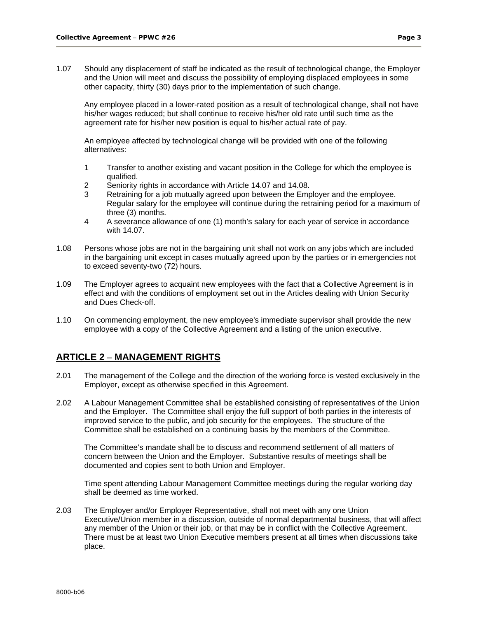1.07 Should any displacement of staff be indicated as the result of technological change, the Employer and the Union will meet and discuss the possibility of employing displaced employees in some other capacity, thirty (30) days prior to the implementation of such change.

Any employee placed in a lower-rated position as a result of technological change, shall not have his/her wages reduced; but shall continue to receive his/her old rate until such time as the agreement rate for his/her new position is equal to his/her actual rate of pay.

An employee affected by technological change will be provided with one of the following alternatives:

- 1 Transfer to another existing and vacant position in the College for which the employee is qualified.
- 2 Seniority rights in accordance with Article 14.07 and 14.08.
- 3 Retraining for a job mutually agreed upon between the Employer and the employee. Regular salary for the employee will continue during the retraining period for a maximum of three (3) months.
- 4 A severance allowance of one (1) month's salary for each year of service in accordance with 14.07.
- 1.08 Persons whose jobs are not in the bargaining unit shall not work on any jobs which are included in the bargaining unit except in cases mutually agreed upon by the parties or in emergencies not to exceed seventy-two (72) hours.
- 1.09 The Employer agrees to acquaint new employees with the fact that a Collective Agreement is in effect and with the conditions of employment set out in the Articles dealing with Union Security and Dues Check-off.
- 1.10 On commencing employment, the new employee's immediate supervisor shall provide the new employee with a copy of the Collective Agreement and a listing of the union executive.

# **ARTICLE 2 – MANAGEMENT RIGHTS**

- 2.01 The management of the College and the direction of the working force is vested exclusively in the Employer, except as otherwise specified in this Agreement.
- 2.02 A Labour Management Committee shall be established consisting of representatives of the Union and the Employer. The Committee shall enjoy the full support of both parties in the interests of improved service to the public, and job security for the employees. The structure of the Committee shall be established on a continuing basis by the members of the Committee.

The Committee's mandate shall be to discuss and recommend settlement of all matters of concern between the Union and the Employer. Substantive results of meetings shall be documented and copies sent to both Union and Employer.

Time spent attending Labour Management Committee meetings during the regular working day shall be deemed as time worked.

2.03 The Employer and/or Employer Representative, shall not meet with any one Union Executive/Union member in a discussion, outside of normal departmental business, that will affect any member of the Union or their job, or that may be in conflict with the Collective Agreement. There must be at least two Union Executive members present at all times when discussions take place.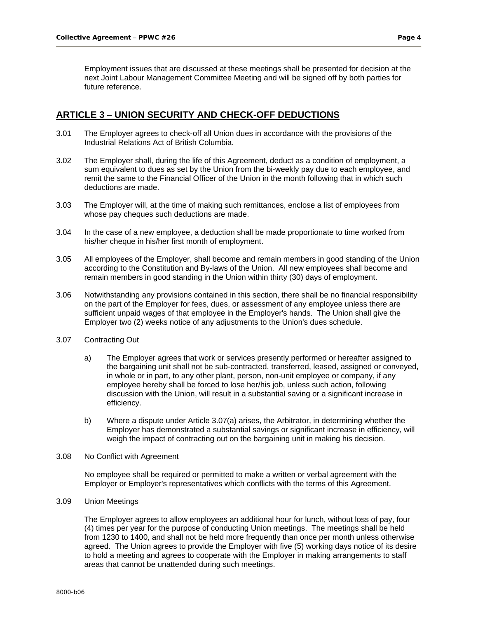Employment issues that are discussed at these meetings shall be presented for decision at the next Joint Labour Management Committee Meeting and will be signed off by both parties for future reference.

## **ARTICLE 3 – UNION SECURITY AND CHECK-OFF DEDUCTIONS**

- 3.01 The Employer agrees to check-off all Union dues in accordance with the provisions of the Industrial Relations Act of British Columbia.
- 3.02 The Employer shall, during the life of this Agreement, deduct as a condition of employment, a sum equivalent to dues as set by the Union from the bi-weekly pay due to each employee, and remit the same to the Financial Officer of the Union in the month following that in which such deductions are made.
- 3.03 The Employer will, at the time of making such remittances, enclose a list of employees from whose pay cheques such deductions are made.
- 3.04 In the case of a new employee, a deduction shall be made proportionate to time worked from his/her cheque in his/her first month of employment.
- 3.05 All employees of the Employer, shall become and remain members in good standing of the Union according to the Constitution and By-laws of the Union. All new employees shall become and remain members in good standing in the Union within thirty (30) days of employment.
- 3.06 Notwithstanding any provisions contained in this section, there shall be no financial responsibility on the part of the Employer for fees, dues, or assessment of any employee unless there are sufficient unpaid wages of that employee in the Employer's hands. The Union shall give the Employer two (2) weeks notice of any adjustments to the Union's dues schedule.
- 3.07 Contracting Out
	- a) The Employer agrees that work or services presently performed or hereafter assigned to the bargaining unit shall not be sub-contracted, transferred, leased, assigned or conveyed, in whole or in part, to any other plant, person, non-unit employee or company, if any employee hereby shall be forced to lose her/his job, unless such action, following discussion with the Union, will result in a substantial saving or a significant increase in efficiency.
	- b) Where a dispute under Article 3.07(a) arises, the Arbitrator, in determining whether the Employer has demonstrated a substantial savings or significant increase in efficiency, will weigh the impact of contracting out on the bargaining unit in making his decision.
- 3.08 No Conflict with Agreement

No employee shall be required or permitted to make a written or verbal agreement with the Employer or Employer's representatives which conflicts with the terms of this Agreement.

3.09 Union Meetings

The Employer agrees to allow employees an additional hour for lunch, without loss of pay, four (4) times per year for the purpose of conducting Union meetings. The meetings shall be held from 1230 to 1400, and shall not be held more frequently than once per month unless otherwise agreed. The Union agrees to provide the Employer with five (5) working days notice of its desire to hold a meeting and agrees to cooperate with the Employer in making arrangements to staff areas that cannot be unattended during such meetings.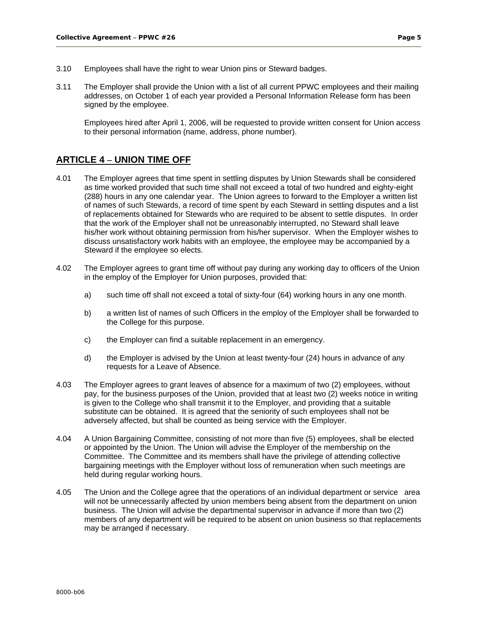- 3.10 Employees shall have the right to wear Union pins or Steward badges.
- 3.11 The Employer shall provide the Union with a list of all current PPWC employees and their mailing addresses, on October 1 of each year provided a Personal Information Release form has been signed by the employee.

Employees hired after April 1, 2006, will be requested to provide written consent for Union access to their personal information (name, address, phone number).

# **ARTICLE 4 – UNION TIME OFF**

- 4.01 The Employer agrees that time spent in settling disputes by Union Stewards shall be considered as time worked provided that such time shall not exceed a total of two hundred and eighty-eight (288) hours in any one calendar year. The Union agrees to forward to the Employer a written list of names of such Stewards, a record of time spent by each Steward in settling disputes and a list of replacements obtained for Stewards who are required to be absent to settle disputes. In order that the work of the Employer shall not be unreasonably interrupted, no Steward shall leave his/her work without obtaining permission from his/her supervisor. When the Employer wishes to discuss unsatisfactory work habits with an employee, the employee may be accompanied by a Steward if the employee so elects.
- 4.02 The Employer agrees to grant time off without pay during any working day to officers of the Union in the employ of the Employer for Union purposes, provided that:
	- a) such time off shall not exceed a total of sixty-four (64) working hours in any one month.
	- b) a written list of names of such Officers in the employ of the Employer shall be forwarded to the College for this purpose.
	- c) the Employer can find a suitable replacement in an emergency.
	- d) the Employer is advised by the Union at least twenty-four (24) hours in advance of any requests for a Leave of Absence.
- 4.03 The Employer agrees to grant leaves of absence for a maximum of two (2) employees, without pay, for the business purposes of the Union, provided that at least two (2) weeks notice in writing is given to the College who shall transmit it to the Employer, and providing that a suitable substitute can be obtained. It is agreed that the seniority of such employees shall not be adversely affected, but shall be counted as being service with the Employer.
- 4.04 A Union Bargaining Committee, consisting of not more than five (5) employees, shall be elected or appointed by the Union. The Union will advise the Employer of the membership on the Committee. The Committee and its members shall have the privilege of attending collective bargaining meetings with the Employer without loss of remuneration when such meetings are held during regular working hours.
- 4.05 The Union and the College agree that the operations of an individual department or service area will not be unnecessarily affected by union members being absent from the department on union business. The Union will advise the departmental supervisor in advance if more than two (2) members of any department will be required to be absent on union business so that replacements may be arranged if necessary.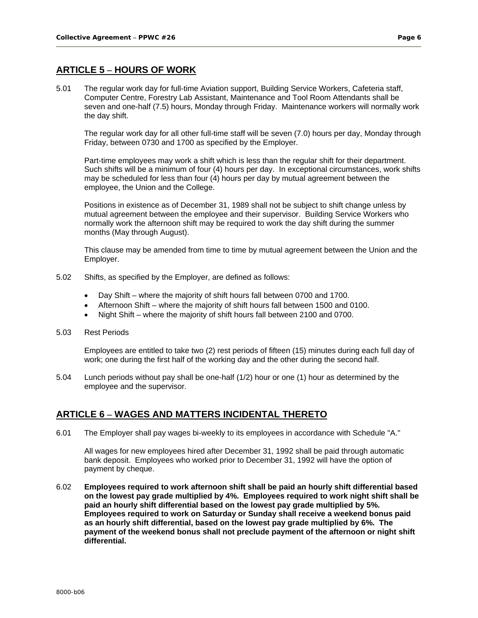# **ARTICLE 5 – HOURS OF WORK**

5.01 The regular work day for full-time Aviation support, Building Service Workers, Cafeteria staff, Computer Centre, Forestry Lab Assistant, Maintenance and Tool Room Attendants shall be seven and one-half (7.5) hours, Monday through Friday. Maintenance workers will normally work the day shift.

The regular work day for all other full-time staff will be seven (7.0) hours per day, Monday through Friday, between 0730 and 1700 as specified by the Employer.

Part-time employees may work a shift which is less than the regular shift for their department. Such shifts will be a minimum of four (4) hours per day. In exceptional circumstances, work shifts may be scheduled for less than four (4) hours per day by mutual agreement between the employee, the Union and the College.

Positions in existence as of December 31, 1989 shall not be subject to shift change unless by mutual agreement between the employee and their supervisor. Building Service Workers who normally work the afternoon shift may be required to work the day shift during the summer months (May through August).

This clause may be amended from time to time by mutual agreement between the Union and the Employer.

- 5.02 Shifts, as specified by the Employer, are defined as follows:
	- Day Shift where the majority of shift hours fall between 0700 and 1700.
	- Afternoon Shift where the majority of shift hours fall between 1500 and 0100.
	- Night Shift where the majority of shift hours fall between 2100 and 0700.
- 5.03 Rest Periods

Employees are entitled to take two (2) rest periods of fifteen (15) minutes during each full day of work; one during the first half of the working day and the other during the second half.

5.04 Lunch periods without pay shall be one-half (1/2) hour or one (1) hour as determined by the employee and the supervisor.

# **ARTICLE 6 – WAGES AND MATTERS INCIDENTAL THERETO**

6.01 The Employer shall pay wages bi-weekly to its employees in accordance with Schedule "A."

All wages for new employees hired after December 31, 1992 shall be paid through automatic bank deposit. Employees who worked prior to December 31, 1992 will have the option of payment by cheque.

6.02 **Employees required to work afternoon shift shall be paid an hourly shift differential based on the lowest pay grade multiplied by 4%. Employees required to work night shift shall be paid an hourly shift differential based on the lowest pay grade multiplied by 5%. Employees required to work on Saturday or Sunday shall receive a weekend bonus paid as an hourly shift differential, based on the lowest pay grade multiplied by 6%. The payment of the weekend bonus shall not preclude payment of the afternoon or night shift differential.**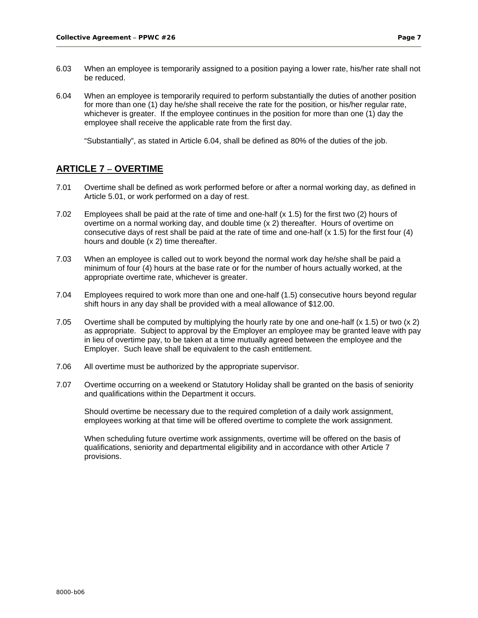- 6.03 When an employee is temporarily assigned to a position paying a lower rate, his/her rate shall not be reduced.
- 6.04 When an employee is temporarily required to perform substantially the duties of another position for more than one (1) day he/she shall receive the rate for the position, or his/her regular rate, whichever is greater. If the employee continues in the position for more than one (1) day the employee shall receive the applicable rate from the first day.

"Substantially", as stated in Article 6.04, shall be defined as 80% of the duties of the job.

## **ARTICLE 7 – OVERTIME**

- 7.01 Overtime shall be defined as work performed before or after a normal working day, as defined in Article 5.01, or work performed on a day of rest.
- 7.02 Employees shall be paid at the rate of time and one-half (x 1.5) for the first two (2) hours of overtime on a normal working day, and double time (x 2) thereafter. Hours of overtime on consecutive days of rest shall be paid at the rate of time and one-half (x 1.5) for the first four (4) hours and double (x 2) time thereafter.
- 7.03 When an employee is called out to work beyond the normal work day he/she shall be paid a minimum of four (4) hours at the base rate or for the number of hours actually worked, at the appropriate overtime rate, whichever is greater.
- 7.04 Employees required to work more than one and one-half (1.5) consecutive hours beyond regular shift hours in any day shall be provided with a meal allowance of \$12.00.
- 7.05 Overtime shall be computed by multiplying the hourly rate by one and one-half (x 1.5) or two (x 2) as appropriate. Subject to approval by the Employer an employee may be granted leave with pay in lieu of overtime pay, to be taken at a time mutually agreed between the employee and the Employer. Such leave shall be equivalent to the cash entitlement.
- 7.06 All overtime must be authorized by the appropriate supervisor.
- 7.07 Overtime occurring on a weekend or Statutory Holiday shall be granted on the basis of seniority and qualifications within the Department it occurs.

Should overtime be necessary due to the required completion of a daily work assignment, employees working at that time will be offered overtime to complete the work assignment.

When scheduling future overtime work assignments, overtime will be offered on the basis of qualifications, seniority and departmental eligibility and in accordance with other Article 7 provisions.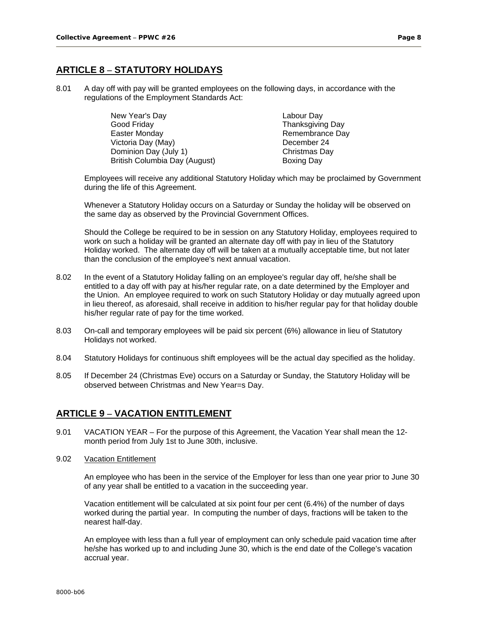# **ARTICLE 8 – STATUTORY HOLIDAYS**

8.01 A day off with pay will be granted employees on the following days, in accordance with the regulations of the Employment Standards Act:

| New Year's Day                | Labour Day        |  |  |
|-------------------------------|-------------------|--|--|
| Good Friday                   | Thanksgiving Day  |  |  |
| Easter Monday                 | Remembrance Day   |  |  |
| Victoria Day (May)            | December 24       |  |  |
| Dominion Day (July 1)         | Christmas Day     |  |  |
| British Columbia Day (August) | <b>Boxing Day</b> |  |  |

Employees will receive any additional Statutory Holiday which may be proclaimed by Government during the life of this Agreement.

Whenever a Statutory Holiday occurs on a Saturday or Sunday the holiday will be observed on the same day as observed by the Provincial Government Offices.

Should the College be required to be in session on any Statutory Holiday, employees required to work on such a holiday will be granted an alternate day off with pay in lieu of the Statutory Holiday worked. The alternate day off will be taken at a mutually acceptable time, but not later than the conclusion of the employee's next annual vacation.

- 8.02 In the event of a Statutory Holiday falling on an employee's regular day off, he/she shall be entitled to a day off with pay at his/her regular rate, on a date determined by the Employer and the Union. An employee required to work on such Statutory Holiday or day mutually agreed upon in lieu thereof, as aforesaid, shall receive in addition to his/her regular pay for that holiday double his/her regular rate of pay for the time worked.
- 8.03 On-call and temporary employees will be paid six percent (6%) allowance in lieu of Statutory Holidays not worked.
- 8.04 Statutory Holidays for continuous shift employees will be the actual day specified as the holiday.
- 8.05 If December 24 (Christmas Eve) occurs on a Saturday or Sunday, the Statutory Holiday will be observed between Christmas and New Year=s Day.

## **ARTICLE 9 – VACATION ENTITLEMENT**

- 9.01 VACATION YEAR For the purpose of this Agreement, the Vacation Year shall mean the 12 month period from July 1st to June 30th, inclusive.
- 9.02 Vacation Entitlement

An employee who has been in the service of the Employer for less than one year prior to June 30 of any year shall be entitled to a vacation in the succeeding year.

Vacation entitlement will be calculated at six point four per cent (6.4%) of the number of days worked during the partial year. In computing the number of days, fractions will be taken to the nearest half-day.

An employee with less than a full year of employment can only schedule paid vacation time after he/she has worked up to and including June 30, which is the end date of the College's vacation accrual year.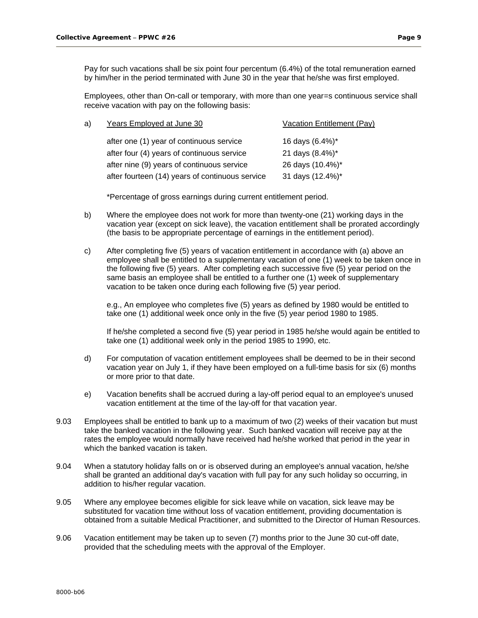Employees, other than On-call or temporary, with more than one year=s continuous service shall receive vacation with pay on the following basis:

| a) | Years Employed at June 30                       | Vacation Entitlement (Pay) |
|----|-------------------------------------------------|----------------------------|
|    | after one (1) year of continuous service        | 16 days (6.4%)*            |
|    | after four (4) years of continuous service      | 21 days (8.4%)*            |
|    | after nine (9) years of continuous service      | 26 days (10.4%)*           |
|    | after fourteen (14) years of continuous service | 31 days (12.4%)*           |

\*Percentage of gross earnings during current entitlement period.

- b) Where the employee does not work for more than twenty-one (21) working days in the vacation year (except on sick leave), the vacation entitlement shall be prorated accordingly (the basis to be appropriate percentage of earnings in the entitlement period).
- c) After completing five (5) years of vacation entitlement in accordance with (a) above an employee shall be entitled to a supplementary vacation of one (1) week to be taken once in the following five (5) years. After completing each successive five (5) year period on the same basis an employee shall be entitled to a further one (1) week of supplementary vacation to be taken once during each following five (5) year period.

e.g., An employee who completes five (5) years as defined by 1980 would be entitled to take one (1) additional week once only in the five (5) year period 1980 to 1985.

If he/she completed a second five (5) year period in 1985 he/she would again be entitled to take one (1) additional week only in the period 1985 to 1990, etc.

- d) For computation of vacation entitlement employees shall be deemed to be in their second vacation year on July 1, if they have been employed on a full-time basis for six (6) months or more prior to that date.
- e) Vacation benefits shall be accrued during a lay-off period equal to an employee's unused vacation entitlement at the time of the lay-off for that vacation year.
- 9.03 Employees shall be entitled to bank up to a maximum of two (2) weeks of their vacation but must take the banked vacation in the following year. Such banked vacation will receive pay at the rates the employee would normally have received had he/she worked that period in the year in which the banked vacation is taken.
- 9.04 When a statutory holiday falls on or is observed during an employee's annual vacation, he/she shall be granted an additional day's vacation with full pay for any such holiday so occurring, in addition to his/her regular vacation.
- 9.05 Where any employee becomes eligible for sick leave while on vacation, sick leave may be substituted for vacation time without loss of vacation entitlement, providing documentation is obtained from a suitable Medical Practitioner, and submitted to the Director of Human Resources.
- 9.06 Vacation entitlement may be taken up to seven (7) months prior to the June 30 cut-off date, provided that the scheduling meets with the approval of the Employer.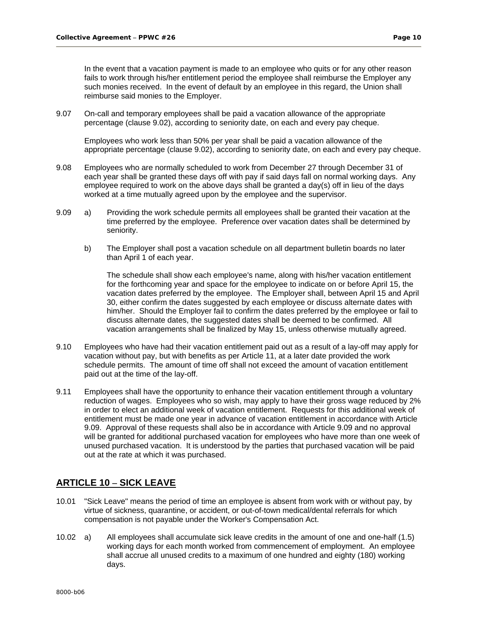In the event that a vacation payment is made to an employee who quits or for any other reason fails to work through his/her entitlement period the employee shall reimburse the Employer any such monies received. In the event of default by an employee in this regard, the Union shall reimburse said monies to the Employer.

9.07 On-call and temporary employees shall be paid a vacation allowance of the appropriate percentage (clause 9.02), according to seniority date, on each and every pay cheque.

Employees who work less than 50% per year shall be paid a vacation allowance of the appropriate percentage (clause 9.02), according to seniority date, on each and every pay cheque.

- 9.08 Employees who are normally scheduled to work from December 27 through December 31 of each year shall be granted these days off with pay if said days fall on normal working days. Any employee required to work on the above days shall be granted a day(s) off in lieu of the days worked at a time mutually agreed upon by the employee and the supervisor.
- 9.09 a) Providing the work schedule permits all employees shall be granted their vacation at the time preferred by the employee. Preference over vacation dates shall be determined by seniority.
	- b) The Employer shall post a vacation schedule on all department bulletin boards no later than April 1 of each year.

The schedule shall show each employee's name, along with his/her vacation entitlement for the forthcoming year and space for the employee to indicate on or before April 15, the vacation dates preferred by the employee. The Employer shall, between April 15 and April 30, either confirm the dates suggested by each employee or discuss alternate dates with him/her. Should the Employer fail to confirm the dates preferred by the employee or fail to discuss alternate dates, the suggested dates shall be deemed to be confirmed. All vacation arrangements shall be finalized by May 15, unless otherwise mutually agreed.

- 9.10 Employees who have had their vacation entitlement paid out as a result of a lay-off may apply for vacation without pay, but with benefits as per Article 11, at a later date provided the work schedule permits. The amount of time off shall not exceed the amount of vacation entitlement paid out at the time of the lay-off.
- 9.11 Employees shall have the opportunity to enhance their vacation entitlement through a voluntary reduction of wages. Employees who so wish, may apply to have their gross wage reduced by 2% in order to elect an additional week of vacation entitlement. Requests for this additional week of entitlement must be made one year in advance of vacation entitlement in accordance with Article 9.09. Approval of these requests shall also be in accordance with Article 9.09 and no approval will be granted for additional purchased vacation for employees who have more than one week of unused purchased vacation. It is understood by the parties that purchased vacation will be paid out at the rate at which it was purchased.

# **ARTICLE 10 – SICK LEAVE**

- 10.01 "Sick Leave" means the period of time an employee is absent from work with or without pay, by virtue of sickness, quarantine, or accident, or out-of-town medical/dental referrals for which compensation is not payable under the Worker's Compensation Act.
- 10.02 a) All employees shall accumulate sick leave credits in the amount of one and one-half (1.5) working days for each month worked from commencement of employment. An employee shall accrue all unused credits to a maximum of one hundred and eighty (180) working days.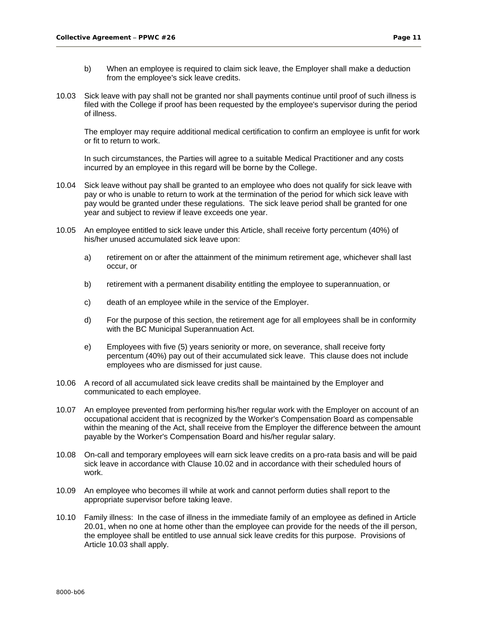- b) When an employee is required to claim sick leave, the Employer shall make a deduction from the employee's sick leave credits.
- 10.03 Sick leave with pay shall not be granted nor shall payments continue until proof of such illness is filed with the College if proof has been requested by the employee's supervisor during the period of illness.

The employer may require additional medical certification to confirm an employee is unfit for work or fit to return to work.

In such circumstances, the Parties will agree to a suitable Medical Practitioner and any costs incurred by an employee in this regard will be borne by the College.

- 10.04 Sick leave without pay shall be granted to an employee who does not qualify for sick leave with pay or who is unable to return to work at the termination of the period for which sick leave with pay would be granted under these regulations. The sick leave period shall be granted for one year and subject to review if leave exceeds one year.
- 10.05 An employee entitled to sick leave under this Article, shall receive forty percentum (40%) of his/her unused accumulated sick leave upon:
	- a) retirement on or after the attainment of the minimum retirement age, whichever shall last occur, or
	- b) retirement with a permanent disability entitling the employee to superannuation, or
	- c) death of an employee while in the service of the Employer.
	- d) For the purpose of this section, the retirement age for all employees shall be in conformity with the BC Municipal Superannuation Act.
	- e) Employees with five (5) years seniority or more, on severance, shall receive forty percentum (40%) pay out of their accumulated sick leave. This clause does not include employees who are dismissed for just cause.
- 10.06 A record of all accumulated sick leave credits shall be maintained by the Employer and communicated to each employee.
- 10.07 An employee prevented from performing his/her regular work with the Employer on account of an occupational accident that is recognized by the Worker's Compensation Board as compensable within the meaning of the Act, shall receive from the Employer the difference between the amount payable by the Worker's Compensation Board and his/her regular salary.
- 10.08 On-call and temporary employees will earn sick leave credits on a pro-rata basis and will be paid sick leave in accordance with Clause 10.02 and in accordance with their scheduled hours of work.
- 10.09 An employee who becomes ill while at work and cannot perform duties shall report to the appropriate supervisor before taking leave.
- 10.10 Family illness: In the case of illness in the immediate family of an employee as defined in Article 20.01, when no one at home other than the employee can provide for the needs of the ill person, the employee shall be entitled to use annual sick leave credits for this purpose. Provisions of Article 10.03 shall apply.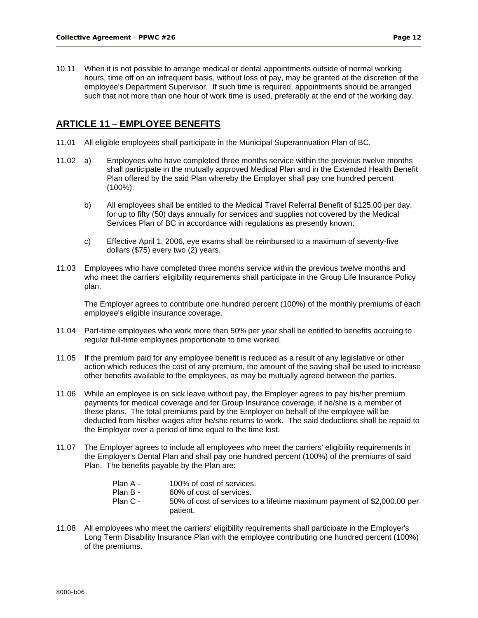10.11 When it is not possible to arrange medical or dental appointments outside of normal working hours, time off on an infrequent basis, without loss of pay, may be granted at the discretion of the employee's Department Supervisor. If such time is required, appointments should be arranged such that not more than one hour of work time is used, preferably at the end of the working day.

# **ARTICLE 11 – EMPLOYEE BENEFITS**

- 11.01 All eligible employees shall participate in the Municipal Superannuation Plan of BC.
- 11.02 a) Employees who have completed three months service within the previous twelve months shall participate in the mutually approved Medical Plan and in the Extended Health Benefit Plan offered by the said Plan whereby the Employer shall pay one hundred percent (100%).
	- b) All employees shall be entitled to the Medical Travel Referral Benefit of \$125.00 per day, for up to fifty (50) days annually for services and supplies not covered by the Medical Services Plan of BC in accordance with regulations as presently known.
	- c) Effective April 1, 2006, eye exams shall be reimbursed to a maximum of seventy-five dollars (\$75) every two (2) years.
- 11.03 Employees who have completed three months service within the previous twelve months and who meet the carriers' eligibility requirements shall participate in the Group Life Insurance Policy plan.

The Employer agrees to contribute one hundred percent (100%) of the monthly premiums of each employee's eligible insurance coverage.

- 11.04 Part-time employees who work more than 50% per year shall be entitled to benefits accruing to regular full-time employees proportionate to time worked.
- 11.05 If the premium paid for any employee benefit is reduced as a result of any legislative or other action which reduces the cost of any premium, the amount of the saving shall be used to increase other benefits available to the employees, as may be mutually agreed between the parties.
- 11.06 While an employee is on sick leave without pay, the Employer agrees to pay his/her premium payments for medical coverage and for Group Insurance coverage, if he/she is a member of these plans. The total premiums paid by the Employer on behalf of the employee will be deducted from his/her wages after he/she returns to work. The said deductions shall be repaid to the Employer over a period of time equal to the time lost.
- 11.07 The Employer agrees to include all employees who meet the carriers' eligibility requirements in the Employer's Dental Plan and shall pay one hundred percent (100%) of the premiums of said Plan. The benefits payable by the Plan are:
	- Plan A 100% of cost of services. Plan B - 60% of cost of services.
		- Plan C 50% of cost of services to a lifetime maximum payment of \$2,000.00 per patient.
- 11.08 All employees who meet the carriers' eligibility requirements shall participate in the Employer's Long Term Disability Insurance Plan with the employee contributing one hundred percent (100%) of the premiums.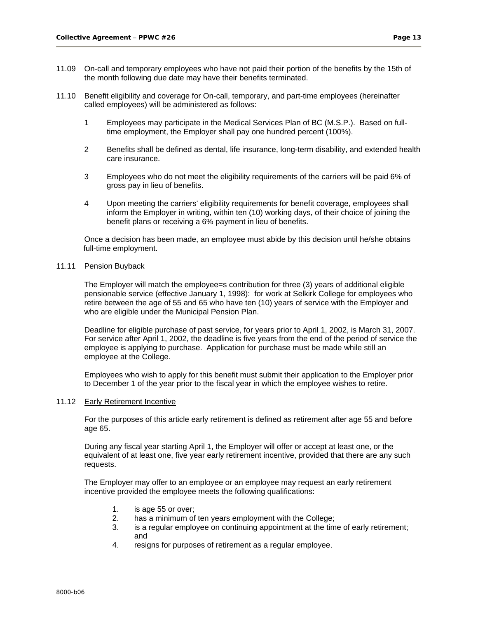- 11.09 On-call and temporary employees who have not paid their portion of the benefits by the 15th of the month following due date may have their benefits terminated.
- 11.10 Benefit eligibility and coverage for On-call, temporary, and part-time employees (hereinafter called employees) will be administered as follows:
	- 1 Employees may participate in the Medical Services Plan of BC (M.S.P.). Based on fulltime employment, the Employer shall pay one hundred percent (100%).
	- 2 Benefits shall be defined as dental, life insurance, long-term disability, and extended health care insurance.
	- 3 Employees who do not meet the eligibility requirements of the carriers will be paid 6% of gross pay in lieu of benefits.
	- 4 Upon meeting the carriers' eligibility requirements for benefit coverage, employees shall inform the Employer in writing, within ten (10) working days, of their choice of joining the benefit plans or receiving a 6% payment in lieu of benefits.

Once a decision has been made, an employee must abide by this decision until he/she obtains full-time employment.

#### 11.11 Pension Buyback

The Employer will match the employee=s contribution for three (3) years of additional eligible pensionable service (effective January 1, 1998): for work at Selkirk College for employees who retire between the age of 55 and 65 who have ten (10) years of service with the Employer and who are eligible under the Municipal Pension Plan.

Deadline for eligible purchase of past service, for years prior to April 1, 2002, is March 31, 2007. For service after April 1, 2002, the deadline is five years from the end of the period of service the employee is applying to purchase. Application for purchase must be made while still an employee at the College.

Employees who wish to apply for this benefit must submit their application to the Employer prior to December 1 of the year prior to the fiscal year in which the employee wishes to retire.

#### 11.12 Early Retirement Incentive

For the purposes of this article early retirement is defined as retirement after age 55 and before age 65.

During any fiscal year starting April 1, the Employer will offer or accept at least one, or the equivalent of at least one, five year early retirement incentive, provided that there are any such requests.

The Employer may offer to an employee or an employee may request an early retirement incentive provided the employee meets the following qualifications:

- 1. is age 55 or over;
- 2. has a minimum of ten years employment with the College;
- 3. is a regular employee on continuing appointment at the time of early retirement; and
- 4. resigns for purposes of retirement as a regular employee.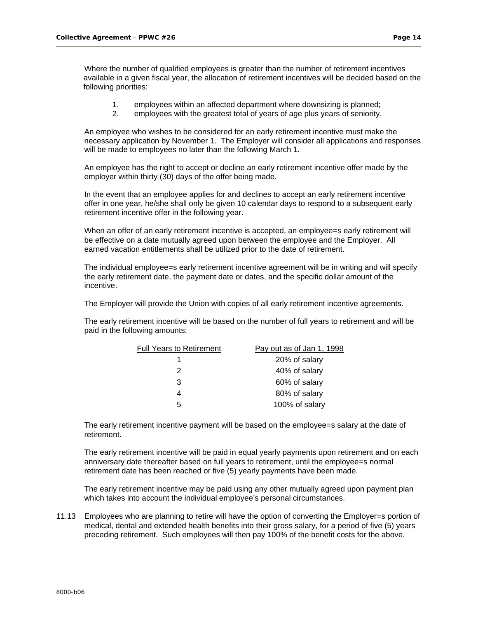Where the number of qualified employees is greater than the number of retirement incentives available in a given fiscal year, the allocation of retirement incentives will be decided based on the following priorities:

- 1. employees within an affected department where downsizing is planned;
- 2. employees with the greatest total of years of age plus years of seniority.

An employee who wishes to be considered for an early retirement incentive must make the necessary application by November 1. The Employer will consider all applications and responses will be made to employees no later than the following March 1.

An employee has the right to accept or decline an early retirement incentive offer made by the employer within thirty (30) days of the offer being made.

In the event that an employee applies for and declines to accept an early retirement incentive offer in one year, he/she shall only be given 10 calendar days to respond to a subsequent early retirement incentive offer in the following year.

When an offer of an early retirement incentive is accepted, an employee=s early retirement will be effective on a date mutually agreed upon between the employee and the Employer. All earned vacation entitlements shall be utilized prior to the date of retirement.

The individual employee=s early retirement incentive agreement will be in writing and will specify the early retirement date, the payment date or dates, and the specific dollar amount of the incentive.

The Employer will provide the Union with copies of all early retirement incentive agreements.

The early retirement incentive will be based on the number of full years to retirement and will be paid in the following amounts:

| <b>Full Years to Retirement</b> | Pay out as of Jan 1, 1998 |
|---------------------------------|---------------------------|
|                                 | 20% of salary             |
| 2                               | 40% of salary             |
| 3                               | 60% of salary             |
|                                 | 80% of salary             |
| 5                               | 100% of salary            |

The early retirement incentive payment will be based on the employee=s salary at the date of retirement.

The early retirement incentive will be paid in equal yearly payments upon retirement and on each anniversary date thereafter based on full years to retirement, until the employee=s normal retirement date has been reached or five (5) yearly payments have been made.

The early retirement incentive may be paid using any other mutually agreed upon payment plan which takes into account the individual employee's personal circumstances.

11.13 Employees who are planning to retire will have the option of converting the Employer=s portion of medical, dental and extended health benefits into their gross salary, for a period of five (5) years preceding retirement. Such employees will then pay 100% of the benefit costs for the above.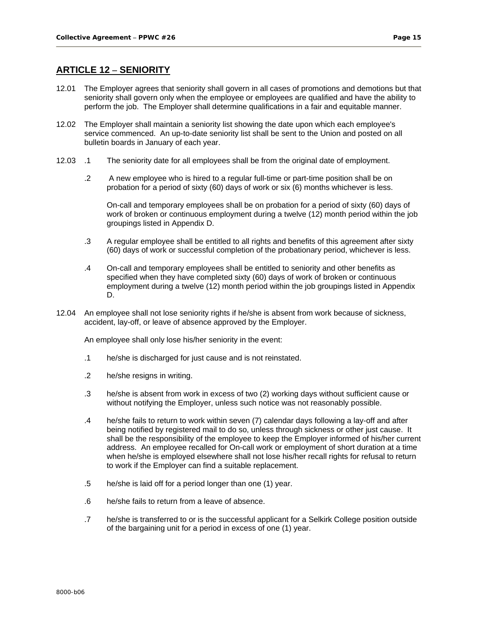### **ARTICLE 12 – SENIORITY**

- 12.01 The Employer agrees that seniority shall govern in all cases of promotions and demotions but that seniority shall govern only when the employee or employees are qualified and have the ability to perform the job. The Employer shall determine qualifications in a fair and equitable manner.
- 12.02 The Employer shall maintain a seniority list showing the date upon which each employee's service commenced. An up-to-date seniority list shall be sent to the Union and posted on all bulletin boards in January of each year.
- 12.03 .1 The seniority date for all employees shall be from the original date of employment.
	- .2 A new employee who is hired to a regular full-time or part-time position shall be on probation for a period of sixty (60) days of work or six (6) months whichever is less.

On-call and temporary employees shall be on probation for a period of sixty (60) days of work of broken or continuous employment during a twelve (12) month period within the job groupings listed in Appendix D.

- .3 A regular employee shall be entitled to all rights and benefits of this agreement after sixty (60) days of work or successful completion of the probationary period, whichever is less.
- .4 On-call and temporary employees shall be entitled to seniority and other benefits as specified when they have completed sixty (60) days of work of broken or continuous employment during a twelve (12) month period within the job groupings listed in Appendix D.
- 12.04 An employee shall not lose seniority rights if he/she is absent from work because of sickness, accident, lay-off, or leave of absence approved by the Employer.

An employee shall only lose his/her seniority in the event:

- .1 he/she is discharged for just cause and is not reinstated.
- .2 he/she resigns in writing.
- .3 he/she is absent from work in excess of two (2) working days without sufficient cause or without notifying the Employer, unless such notice was not reasonably possible.
- .4 he/she fails to return to work within seven (7) calendar days following a lay-off and after being notified by registered mail to do so, unless through sickness or other just cause. It shall be the responsibility of the employee to keep the Employer informed of his/her current address. An employee recalled for On-call work or employment of short duration at a time when he/she is employed elsewhere shall not lose his/her recall rights for refusal to return to work if the Employer can find a suitable replacement.
- .5 he/she is laid off for a period longer than one (1) year.
- .6 he/she fails to return from a leave of absence.
- .7 he/she is transferred to or is the successful applicant for a Selkirk College position outside of the bargaining unit for a period in excess of one (1) year.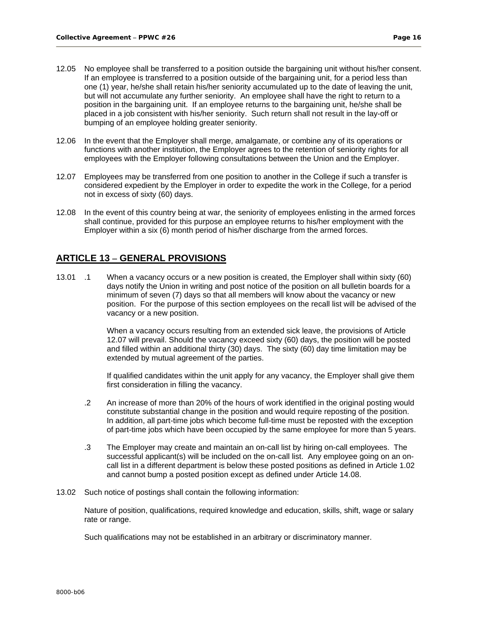- 12.05 No employee shall be transferred to a position outside the bargaining unit without his/her consent. If an employee is transferred to a position outside of the bargaining unit, for a period less than one (1) year, he/she shall retain his/her seniority accumulated up to the date of leaving the unit, but will not accumulate any further seniority. An employee shall have the right to return to a position in the bargaining unit. If an employee returns to the bargaining unit, he/she shall be placed in a job consistent with his/her seniority. Such return shall not result in the lay-off or bumping of an employee holding greater seniority.
- 12.06 In the event that the Employer shall merge, amalgamate, or combine any of its operations or functions with another institution, the Employer agrees to the retention of seniority rights for all employees with the Employer following consultations between the Union and the Employer.
- 12.07 Employees may be transferred from one position to another in the College if such a transfer is considered expedient by the Employer in order to expedite the work in the College, for a period not in excess of sixty (60) days.
- 12.08 In the event of this country being at war, the seniority of employees enlisting in the armed forces shall continue, provided for this purpose an employee returns to his/her employment with the Employer within a six (6) month period of his/her discharge from the armed forces.

## **ARTICLE 13 – GENERAL PROVISIONS**

13.01 .1 When a vacancy occurs or a new position is created, the Employer shall within sixty (60) days notify the Union in writing and post notice of the position on all bulletin boards for a minimum of seven (7) days so that all members will know about the vacancy or new position. For the purpose of this section employees on the recall list will be advised of the vacancy or a new position.

> When a vacancy occurs resulting from an extended sick leave, the provisions of Article 12.07 will prevail. Should the vacancy exceed sixty (60) days, the position will be posted and filled within an additional thirty (30) days. The sixty (60) day time limitation may be extended by mutual agreement of the parties.

If qualified candidates within the unit apply for any vacancy, the Employer shall give them first consideration in filling the vacancy.

- .2 An increase of more than 20% of the hours of work identified in the original posting would constitute substantial change in the position and would require reposting of the position. In addition, all part-time jobs which become full-time must be reposted with the exception of part-time jobs which have been occupied by the same employee for more than 5 years.
- .3 The Employer may create and maintain an on-call list by hiring on-call employees. The successful applicant(s) will be included on the on-call list. Any employee going on an oncall list in a different department is below these posted positions as defined in Article 1.02 and cannot bump a posted position except as defined under Article 14.08.
- 13.02 Such notice of postings shall contain the following information:

Nature of position, qualifications, required knowledge and education, skills, shift, wage or salary rate or range.

Such qualifications may not be established in an arbitrary or discriminatory manner.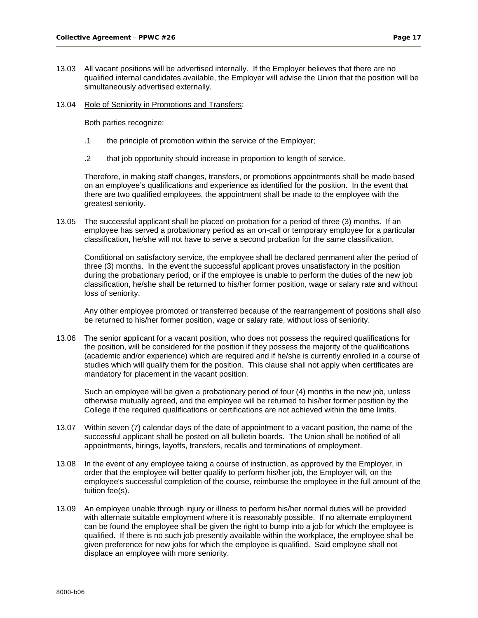- 13.03 All vacant positions will be advertised internally. If the Employer believes that there are no qualified internal candidates available, the Employer will advise the Union that the position will be simultaneously advertised externally.
- 13.04 Role of Seniority in Promotions and Transfers:

Both parties recognize:

- .1 the principle of promotion within the service of the Employer;
- .2 that job opportunity should increase in proportion to length of service.

Therefore, in making staff changes, transfers, or promotions appointments shall be made based on an employee's qualifications and experience as identified for the position. In the event that there are two qualified employees, the appointment shall be made to the employee with the greatest seniority.

13.05 The successful applicant shall be placed on probation for a period of three (3) months. If an employee has served a probationary period as an on-call or temporary employee for a particular classification, he/she will not have to serve a second probation for the same classification.

Conditional on satisfactory service, the employee shall be declared permanent after the period of three (3) months. In the event the successful applicant proves unsatisfactory in the position during the probationary period, or if the employee is unable to perform the duties of the new job classification, he/she shall be returned to his/her former position, wage or salary rate and without loss of seniority.

Any other employee promoted or transferred because of the rearrangement of positions shall also be returned to his/her former position, wage or salary rate, without loss of seniority.

13.06 The senior applicant for a vacant position, who does not possess the required qualifications for the position, will be considered for the position if they possess the majority of the qualifications (academic and/or experience) which are required and if he/she is currently enrolled in a course of studies which will qualify them for the position. This clause shall not apply when certificates are mandatory for placement in the vacant position.

Such an employee will be given a probationary period of four (4) months in the new job, unless otherwise mutually agreed, and the employee will be returned to his/her former position by the College if the required qualifications or certifications are not achieved within the time limits.

- 13.07 Within seven (7) calendar days of the date of appointment to a vacant position, the name of the successful applicant shall be posted on all bulletin boards. The Union shall be notified of all appointments, hirings, layoffs, transfers, recalls and terminations of employment.
- 13.08 In the event of any employee taking a course of instruction, as approved by the Employer, in order that the employee will better qualify to perform his/her job, the Employer will, on the employee's successful completion of the course, reimburse the employee in the full amount of the tuition fee(s).
- 13.09 An employee unable through injury or illness to perform his/her normal duties will be provided with alternate suitable employment where it is reasonably possible. If no alternate employment can be found the employee shall be given the right to bump into a job for which the employee is qualified. If there is no such job presently available within the workplace, the employee shall be given preference for new jobs for which the employee is qualified. Said employee shall not displace an employee with more seniority.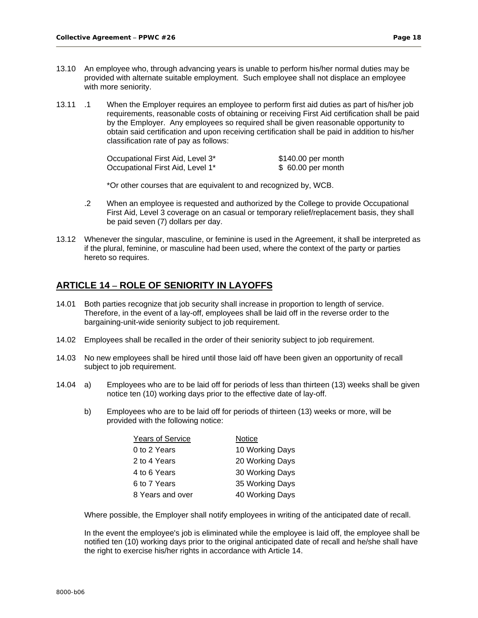- 13.10 An employee who, through advancing years is unable to perform his/her normal duties may be provided with alternate suitable employment. Such employee shall not displace an employee with more seniority.
- 13.11 .1 When the Employer requires an employee to perform first aid duties as part of his/her job requirements, reasonable costs of obtaining or receiving First Aid certification shall be paid by the Employer. Any employees so required shall be given reasonable opportunity to obtain said certification and upon receiving certification shall be paid in addition to his/her classification rate of pay as follows:

| Occupational First Aid, Level 3* | \$140.00 per month |
|----------------------------------|--------------------|
| Occupational First Aid, Level 1* | \$ 60.00 per month |

\*Or other courses that are equivalent to and recognized by, WCB.

- .2 When an employee is requested and authorized by the College to provide Occupational First Aid, Level 3 coverage on an casual or temporary relief/replacement basis, they shall be paid seven (7) dollars per day.
- 13.12 Whenever the singular, masculine, or feminine is used in the Agreement, it shall be interpreted as if the plural, feminine, or masculine had been used, where the context of the party or parties hereto so requires.

### **ARTICLE 14 – ROLE OF SENIORITY IN LAYOFFS**

- 14.01 Both parties recognize that job security shall increase in proportion to length of service. Therefore, in the event of a lay-off, employees shall be laid off in the reverse order to the bargaining-unit-wide seniority subject to job requirement.
- 14.02 Employees shall be recalled in the order of their seniority subject to job requirement.
- 14.03 No new employees shall be hired until those laid off have been given an opportunity of recall subject to job requirement.
- 14.04 a) Employees who are to be laid off for periods of less than thirteen (13) weeks shall be given notice ten (10) working days prior to the effective date of lay-off.
	- b) Employees who are to be laid off for periods of thirteen (13) weeks or more, will be provided with the following notice:

| <b>Years of Service</b> | Notice          |
|-------------------------|-----------------|
| 0 to 2 Years            | 10 Working Days |
| 2 to 4 Years            | 20 Working Days |
| 4 to 6 Years            | 30 Working Days |
| 6 to 7 Years            | 35 Working Days |
| 8 Years and over        | 40 Working Days |

Where possible, the Employer shall notify employees in writing of the anticipated date of recall.

In the event the employee's job is eliminated while the employee is laid off, the employee shall be notified ten (10) working days prior to the original anticipated date of recall and he/she shall have the right to exercise his/her rights in accordance with Article 14.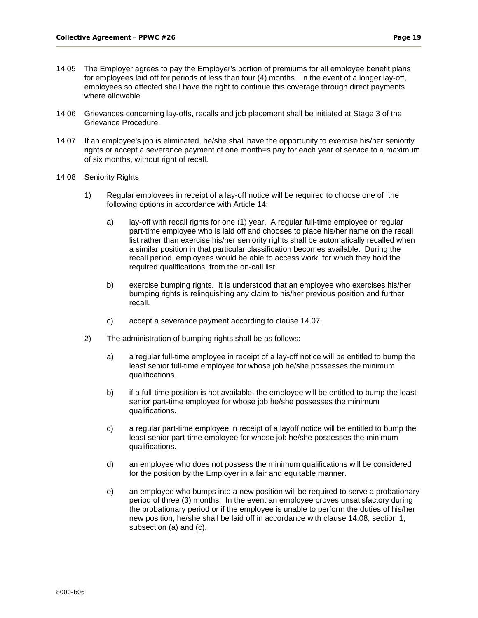- 14.05 The Employer agrees to pay the Employer's portion of premiums for all employee benefit plans for employees laid off for periods of less than four (4) months. In the event of a longer lay-off, employees so affected shall have the right to continue this coverage through direct payments where allowable.
- 14.06 Grievances concerning lay-offs, recalls and job placement shall be initiated at Stage 3 of the Grievance Procedure.
- 14.07 If an employee's job is eliminated, he/she shall have the opportunity to exercise his/her seniority rights or accept a severance payment of one month=s pay for each year of service to a maximum of six months, without right of recall.

#### 14.08 Seniority Rights

- 1) Regular employees in receipt of a lay-off notice will be required to choose one of the following options in accordance with Article 14:
	- a) lay-off with recall rights for one (1) year. A regular full-time employee or regular part-time employee who is laid off and chooses to place his/her name on the recall list rather than exercise his/her seniority rights shall be automatically recalled when a similar position in that particular classification becomes available. During the recall period, employees would be able to access work, for which they hold the required qualifications, from the on-call list.
	- b) exercise bumping rights. It is understood that an employee who exercises his/her bumping rights is relinquishing any claim to his/her previous position and further recall.
	- c) accept a severance payment according to clause 14.07.
- 2) The administration of bumping rights shall be as follows:
	- a) a regular full-time employee in receipt of a lay-off notice will be entitled to bump the least senior full-time employee for whose job he/she possesses the minimum qualifications.
	- b) if a full-time position is not available, the employee will be entitled to bump the least senior part-time employee for whose job he/she possesses the minimum qualifications.
	- c) a regular part-time employee in receipt of a layoff notice will be entitled to bump the least senior part-time employee for whose job he/she possesses the minimum qualifications.
	- d) an employee who does not possess the minimum qualifications will be considered for the position by the Employer in a fair and equitable manner.
	- e) an employee who bumps into a new position will be required to serve a probationary period of three (3) months. In the event an employee proves unsatisfactory during the probationary period or if the employee is unable to perform the duties of his/her new position, he/she shall be laid off in accordance with clause 14.08, section 1, subsection (a) and (c).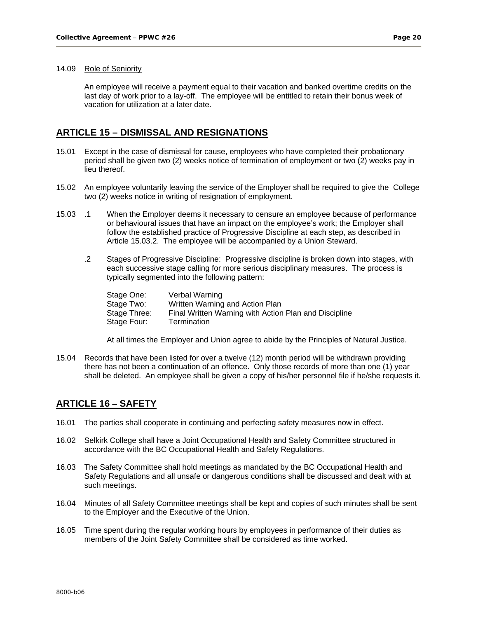#### 14.09 Role of Seniority

An employee will receive a payment equal to their vacation and banked overtime credits on the last day of work prior to a lay-off. The employee will be entitled to retain their bonus week of vacation for utilization at a later date.

#### **ARTICLE 15 – DISMISSAL AND RESIGNATIONS**

- 15.01 Except in the case of dismissal for cause, employees who have completed their probationary period shall be given two (2) weeks notice of termination of employment or two (2) weeks pay in lieu thereof.
- 15.02 An employee voluntarily leaving the service of the Employer shall be required to give the College two (2) weeks notice in writing of resignation of employment.
- 15.03 .1 When the Employer deems it necessary to censure an employee because of performance or behavioural issues that have an impact on the employee's work; the Employer shall follow the established practice of Progressive Discipline at each step, as described in Article 15.03.2. The employee will be accompanied by a Union Steward.
	- .2 Stages of Progressive Discipline: Progressive discipline is broken down into stages, with each successive stage calling for more serious disciplinary measures. The process is typically segmented into the following pattern:

| Verbal Warning                                        |
|-------------------------------------------------------|
| Written Warning and Action Plan                       |
| Final Written Warning with Action Plan and Discipline |
| Termination                                           |
|                                                       |

At all times the Employer and Union agree to abide by the Principles of Natural Justice.

15.04 Records that have been listed for over a twelve (12) month period will be withdrawn providing there has not been a continuation of an offence. Only those records of more than one (1) year shall be deleted. An employee shall be given a copy of his/her personnel file if he/she requests it.

### **ARTICLE 16 – SAFETY**

- 16.01 The parties shall cooperate in continuing and perfecting safety measures now in effect.
- 16.02 Selkirk College shall have a Joint Occupational Health and Safety Committee structured in accordance with the BC Occupational Health and Safety Regulations.
- 16.03 The Safety Committee shall hold meetings as mandated by the BC Occupational Health and Safety Regulations and all unsafe or dangerous conditions shall be discussed and dealt with at such meetings.
- 16.04 Minutes of all Safety Committee meetings shall be kept and copies of such minutes shall be sent to the Employer and the Executive of the Union.
- 16.05 Time spent during the regular working hours by employees in performance of their duties as members of the Joint Safety Committee shall be considered as time worked.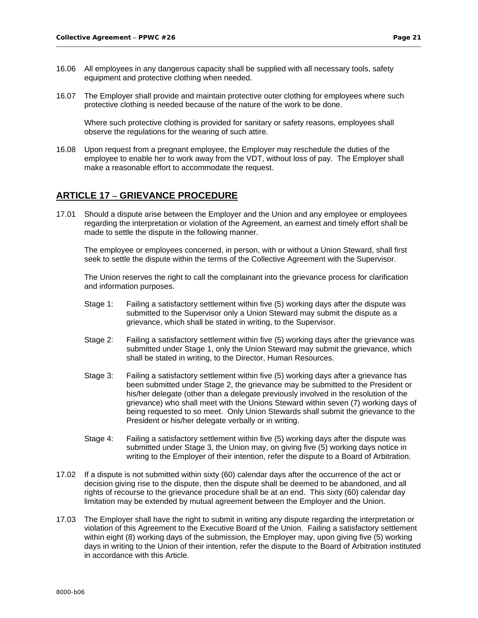- 16.06 All employees in any dangerous capacity shall be supplied with all necessary tools, safety equipment and protective clothing when needed.
- 16.07 The Employer shall provide and maintain protective outer clothing for employees where such protective clothing is needed because of the nature of the work to be done.

Where such protective clothing is provided for sanitary or safety reasons, employees shall observe the regulations for the wearing of such attire.

16.08 Upon request from a pregnant employee, the Employer may reschedule the duties of the employee to enable her to work away from the VDT, without loss of pay. The Employer shall make a reasonable effort to accommodate the request.

## **ARTICLE 17 – GRIEVANCE PROCEDURE**

17.01 Should a dispute arise between the Employer and the Union and any employee or employees regarding the interpretation or violation of the Agreement, an earnest and timely effort shall be made to settle the dispute in the following manner.

The employee or employees concerned, in person, with or without a Union Steward, shall first seek to settle the dispute within the terms of the Collective Agreement with the Supervisor.

The Union reserves the right to call the complainant into the grievance process for clarification and information purposes.

- Stage 1: Failing a satisfactory settlement within five (5) working days after the dispute was submitted to the Supervisor only a Union Steward may submit the dispute as a grievance, which shall be stated in writing, to the Supervisor.
- Stage 2: Failing a satisfactory settlement within five (5) working days after the grievance was submitted under Stage 1, only the Union Steward may submit the grievance, which shall be stated in writing, to the Director, Human Resources.
- Stage 3: Failing a satisfactory settlement within five (5) working days after a grievance has been submitted under Stage 2, the grievance may be submitted to the President or his/her delegate (other than a delegate previously involved in the resolution of the grievance) who shall meet with the Unions Steward within seven (7) working days of being requested to so meet. Only Union Stewards shall submit the grievance to the President or his/her delegate verbally or in writing.
- Stage 4: Failing a satisfactory settlement within five (5) working days after the dispute was submitted under Stage 3, the Union may, on giving five (5) working days notice in writing to the Employer of their intention, refer the dispute to a Board of Arbitration.
- 17.02 If a dispute is not submitted within sixty (60) calendar days after the occurrence of the act or decision giving rise to the dispute, then the dispute shall be deemed to be abandoned, and all rights of recourse to the grievance procedure shall be at an end. This sixty (60) calendar day limitation may be extended by mutual agreement between the Employer and the Union.
- 17.03 The Employer shall have the right to submit in writing any dispute regarding the interpretation or violation of this Agreement to the Executive Board of the Union. Failing a satisfactory settlement within eight (8) working days of the submission, the Employer may, upon giving five (5) working days in writing to the Union of their intention, refer the dispute to the Board of Arbitration instituted in accordance with this Article.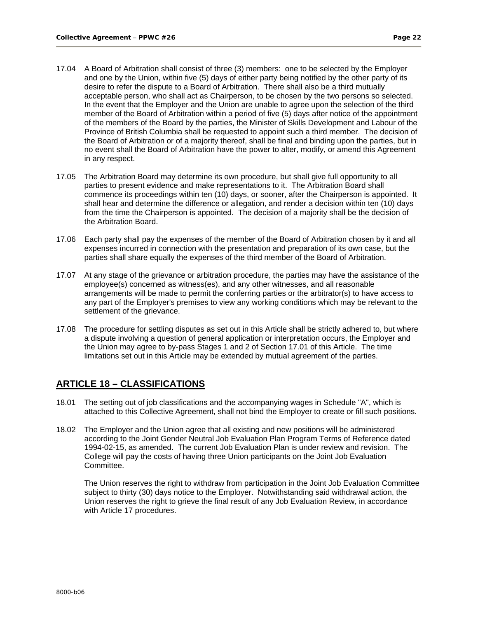- 17.04 A Board of Arbitration shall consist of three (3) members: one to be selected by the Employer and one by the Union, within five (5) days of either party being notified by the other party of its desire to refer the dispute to a Board of Arbitration. There shall also be a third mutually acceptable person, who shall act as Chairperson, to be chosen by the two persons so selected. In the event that the Employer and the Union are unable to agree upon the selection of the third member of the Board of Arbitration within a period of five (5) days after notice of the appointment of the members of the Board by the parties, the Minister of Skills Development and Labour of the Province of British Columbia shall be requested to appoint such a third member. The decision of the Board of Arbitration or of a majority thereof, shall be final and binding upon the parties, but in no event shall the Board of Arbitration have the power to alter, modify, or amend this Agreement in any respect.
- 17.05 The Arbitration Board may determine its own procedure, but shall give full opportunity to all parties to present evidence and make representations to it. The Arbitration Board shall commence its proceedings within ten (10) days, or sooner, after the Chairperson is appointed. It shall hear and determine the difference or allegation, and render a decision within ten (10) days from the time the Chairperson is appointed. The decision of a majority shall be the decision of the Arbitration Board.
- 17.06 Each party shall pay the expenses of the member of the Board of Arbitration chosen by it and all expenses incurred in connection with the presentation and preparation of its own case, but the parties shall share equally the expenses of the third member of the Board of Arbitration.
- 17.07 At any stage of the grievance or arbitration procedure, the parties may have the assistance of the employee(s) concerned as witness(es), and any other witnesses, and all reasonable arrangements will be made to permit the conferring parties or the arbitrator(s) to have access to any part of the Employer's premises to view any working conditions which may be relevant to the settlement of the grievance.
- 17.08 The procedure for settling disputes as set out in this Article shall be strictly adhered to, but where a dispute involving a question of general application or interpretation occurs, the Employer and the Union may agree to by-pass Stages 1 and 2 of Section 17.01 of this Article. The time limitations set out in this Article may be extended by mutual agreement of the parties.

# **ARTICLE 18 – CLASSIFICATIONS**

- 18.01 The setting out of job classifications and the accompanying wages in Schedule "A", which is attached to this Collective Agreement, shall not bind the Employer to create or fill such positions.
- 18.02 The Employer and the Union agree that all existing and new positions will be administered according to the Joint Gender Neutral Job Evaluation Plan Program Terms of Reference dated 1994-02-15, as amended. The current Job Evaluation Plan is under review and revision. The College will pay the costs of having three Union participants on the Joint Job Evaluation Committee.

The Union reserves the right to withdraw from participation in the Joint Job Evaluation Committee subject to thirty (30) days notice to the Employer. Notwithstanding said withdrawal action, the Union reserves the right to grieve the final result of any Job Evaluation Review, in accordance with Article 17 procedures.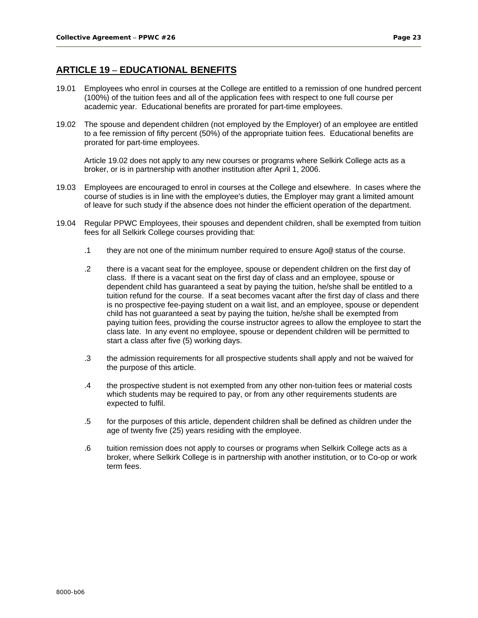# **ARTICLE 19 – EDUCATIONAL BENEFITS**

- 19.01 Employees who enrol in courses at the College are entitled to a remission of one hundred percent (100%) of the tuition fees and all of the application fees with respect to one full course per academic year. Educational benefits are prorated for part-time employees.
- 19.02 The spouse and dependent children (not employed by the Employer) of an employee are entitled to a fee remission of fifty percent (50%) of the appropriate tuition fees. Educational benefits are prorated for part-time employees.

Article 19.02 does not apply to any new courses or programs where Selkirk College acts as a broker, or is in partnership with another institution after April 1, 2006.

- 19.03 Employees are encouraged to enrol in courses at the College and elsewhere. In cases where the course of studies is in line with the employee's duties, the Employer may grant a limited amount of leave for such study if the absence does not hinder the efficient operation of the department.
- 19.04 Regular PPWC Employees, their spouses and dependent children, shall be exempted from tuition fees for all Selkirk College courses providing that:
	- .1 they are not one of the minimum number required to ensure Ago@ status of the course.
	- .2 there is a vacant seat for the employee, spouse or dependent children on the first day of class. If there is a vacant seat on the first day of class and an employee, spouse or dependent child has guaranteed a seat by paying the tuition, he/she shall be entitled to a tuition refund for the course. If a seat becomes vacant after the first day of class and there is no prospective fee-paying student on a wait list, and an employee, spouse or dependent child has not guaranteed a seat by paying the tuition, he/she shall be exempted from paying tuition fees, providing the course instructor agrees to allow the employee to start the class late. In any event no employee, spouse or dependent children will be permitted to start a class after five (5) working days.
	- .3 the admission requirements for all prospective students shall apply and not be waived for the purpose of this article.
	- .4 the prospective student is not exempted from any other non-tuition fees or material costs which students may be required to pay, or from any other requirements students are expected to fulfil.
	- .5 for the purposes of this article, dependent children shall be defined as children under the age of twenty five (25) years residing with the employee.
	- .6 tuition remission does not apply to courses or programs when Selkirk College acts as a broker, where Selkirk College is in partnership with another institution, or to Co-op or work term fees.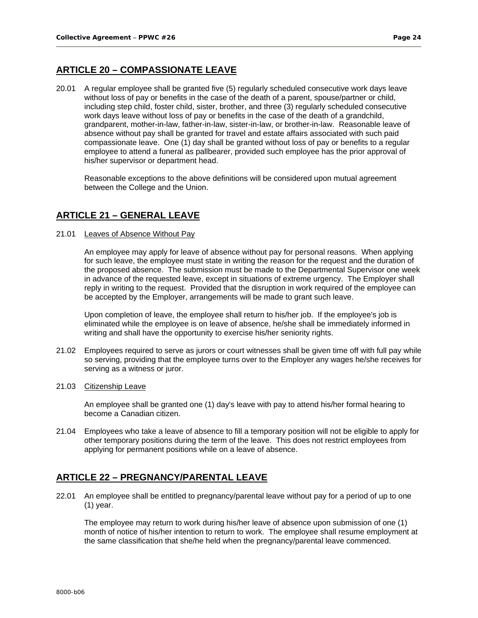# **ARTICLE 20 – COMPASSIONATE LEAVE**

20.01 A regular employee shall be granted five (5) regularly scheduled consecutive work days leave without loss of pay or benefits in the case of the death of a parent, spouse/partner or child, including step child, foster child, sister, brother, and three (3) regularly scheduled consecutive work days leave without loss of pay or benefits in the case of the death of a grandchild, grandparent, mother-in-law, father-in-law, sister-in-law, or brother-in-law. Reasonable leave of absence without pay shall be granted for travel and estate affairs associated with such paid compassionate leave. One (1) day shall be granted without loss of pay or benefits to a regular employee to attend a funeral as pallbearer, provided such employee has the prior approval of his/her supervisor or department head.

Reasonable exceptions to the above definitions will be considered upon mutual agreement between the College and the Union.

## **ARTICLE 21 – GENERAL LEAVE**

21.01 Leaves of Absence Without Pay

An employee may apply for leave of absence without pay for personal reasons. When applying for such leave, the employee must state in writing the reason for the request and the duration of the proposed absence. The submission must be made to the Departmental Supervisor one week in advance of the requested leave, except in situations of extreme urgency. The Employer shall reply in writing to the request. Provided that the disruption in work required of the employee can be accepted by the Employer, arrangements will be made to grant such leave.

Upon completion of leave, the employee shall return to his/her job. If the employee's job is eliminated while the employee is on leave of absence, he/she shall be immediately informed in writing and shall have the opportunity to exercise his/her seniority rights.

- 21.02 Employees required to serve as jurors or court witnesses shall be given time off with full pay while so serving, providing that the employee turns over to the Employer any wages he/she receives for serving as a witness or juror.
- 21.03 Citizenship Leave

An employee shall be granted one (1) day's leave with pay to attend his/her formal hearing to become a Canadian citizen.

21.04 Employees who take a leave of absence to fill a temporary position will not be eligible to apply for other temporary positions during the term of the leave. This does not restrict employees from applying for permanent positions while on a leave of absence.

## **ARTICLE 22 – PREGNANCY/PARENTAL LEAVE**

22.01 An employee shall be entitled to pregnancy/parental leave without pay for a period of up to one (1) year.

The employee may return to work during his/her leave of absence upon submission of one (1) month of notice of his/her intention to return to work. The employee shall resume employment at the same classification that she/he held when the pregnancy/parental leave commenced.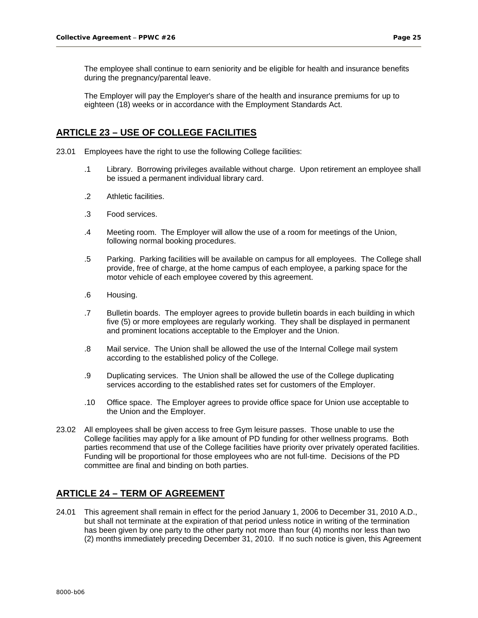The employee shall continue to earn seniority and be eligible for health and insurance benefits during the pregnancy/parental leave.

The Employer will pay the Employer's share of the health and insurance premiums for up to eighteen (18) weeks or in accordance with the Employment Standards Act.

### **ARTICLE 23 – USE OF COLLEGE FACILITIES**

- 23.01 Employees have the right to use the following College facilities:
	- .1 Library. Borrowing privileges available without charge. Upon retirement an employee shall be issued a permanent individual library card.
	- .2 Athletic facilities.
	- .3 Food services.
	- .4 Meeting room. The Employer will allow the use of a room for meetings of the Union, following normal booking procedures.
	- .5 Parking. Parking facilities will be available on campus for all employees. The College shall provide, free of charge, at the home campus of each employee, a parking space for the motor vehicle of each employee covered by this agreement.
	- .6 Housing.
	- .7 Bulletin boards. The employer agrees to provide bulletin boards in each building in which five (5) or more employees are regularly working. They shall be displayed in permanent and prominent locations acceptable to the Employer and the Union.
	- .8 Mail service. The Union shall be allowed the use of the Internal College mail system according to the established policy of the College.
	- .9 Duplicating services. The Union shall be allowed the use of the College duplicating services according to the established rates set for customers of the Employer.
	- .10 Office space. The Employer agrees to provide office space for Union use acceptable to the Union and the Employer.
- 23.02 All employees shall be given access to free Gym leisure passes. Those unable to use the College facilities may apply for a like amount of PD funding for other wellness programs. Both parties recommend that use of the College facilities have priority over privately operated facilities. Funding will be proportional for those employees who are not full-time. Decisions of the PD committee are final and binding on both parties.

### **ARTICLE 24 – TERM OF AGREEMENT**

24.01 This agreement shall remain in effect for the period January 1, 2006 to December 31, 2010 A.D., but shall not terminate at the expiration of that period unless notice in writing of the termination has been given by one party to the other party not more than four (4) months nor less than two (2) months immediately preceding December 31, 2010. If no such notice is given, this Agreement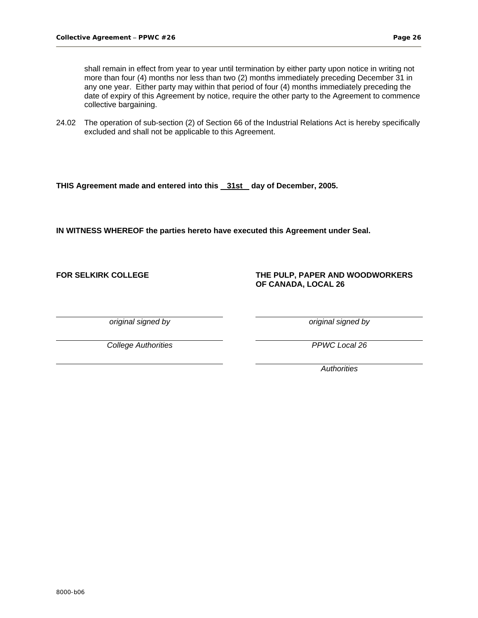shall remain in effect from year to year until termination by either party upon notice in writing not more than four (4) months nor less than two (2) months immediately preceding December 31 in any one year. Either party may within that period of four (4) months immediately preceding the date of expiry of this Agreement by notice, require the other party to the Agreement to commence collective bargaining.

24.02 The operation of sub-section (2) of Section 66 of the Industrial Relations Act is hereby specifically excluded and shall not be applicable to this Agreement.

THIS Agreement made and entered into this 31st day of December, 2005.

**IN WITNESS WHEREOF the parties hereto have executed this Agreement under Seal.** 

#### **FOR SELKIRK COLLEGE THE PULP, PAPER AND WOODWORKERS OF CANADA, LOCAL 26**

*original signed by original signed by* 

*College Authorities PPWC Local 26*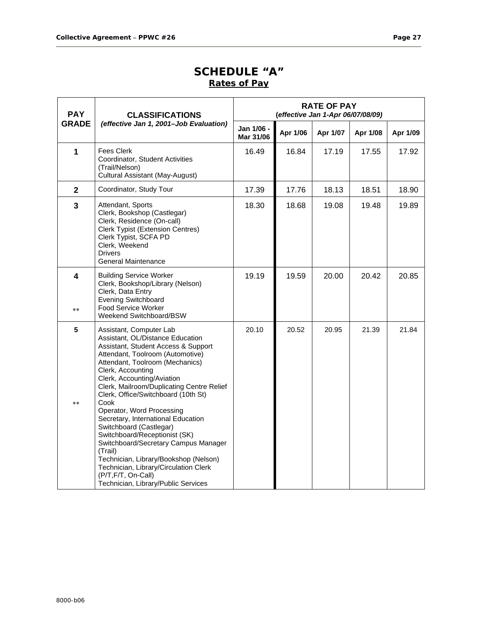# **SCHEDULE "A" Rates of Pay**

| <b>PAY</b>              | <b>CLASSIFICATIONS</b>                                                                                                                                                                                                                                                                                                                                                                                                                                                                                                                                                                                                                                    | <b>RATE OF PAY</b><br>(effective Jan 1-Apr 06/07/08/09) |          |          |          |          |
|-------------------------|-----------------------------------------------------------------------------------------------------------------------------------------------------------------------------------------------------------------------------------------------------------------------------------------------------------------------------------------------------------------------------------------------------------------------------------------------------------------------------------------------------------------------------------------------------------------------------------------------------------------------------------------------------------|---------------------------------------------------------|----------|----------|----------|----------|
| <b>GRADE</b>            | (effective Jan 1, 2001-Job Evaluation)                                                                                                                                                                                                                                                                                                                                                                                                                                                                                                                                                                                                                    | Jan 1/06 -<br>Mar 31/06                                 | Apr 1/06 | Apr 1/07 | Apr 1/08 | Apr 1/09 |
| 1                       | <b>Fees Clerk</b><br>Coordinator, Student Activities<br>(Trail/Nelson)<br>Cultural Assistant (May-August)                                                                                                                                                                                                                                                                                                                                                                                                                                                                                                                                                 | 16.49                                                   | 16.84    | 17.19    | 17.55    | 17.92    |
| $\mathbf{2}$            | Coordinator, Study Tour                                                                                                                                                                                                                                                                                                                                                                                                                                                                                                                                                                                                                                   | 17.39                                                   | 17.76    | 18.13    | 18.51    | 18.90    |
| $\overline{\mathbf{3}}$ | Attendant, Sports<br>Clerk, Bookshop (Castlegar)<br>Clerk, Residence (On-call)<br>Clerk Typist (Extension Centres)<br>Clerk Typist, SCFA PD<br>Clerk, Weekend<br><b>Drivers</b><br>General Maintenance                                                                                                                                                                                                                                                                                                                                                                                                                                                    | 18.30                                                   | 18.68    | 19.08    | 19.48    | 19.89    |
| 4<br>$* *$              | <b>Building Service Worker</b><br>Clerk, Bookshop/Library (Nelson)<br>Clerk, Data Entry<br><b>Evening Switchboard</b><br><b>Food Service Worker</b><br>Weekend Switchboard/BSW                                                                                                                                                                                                                                                                                                                                                                                                                                                                            | 19.19                                                   | 19.59    | 20.00    | 20.42    | 20.85    |
| 5<br>$* *$              | Assistant, Computer Lab<br>Assistant, OL/Distance Education<br>Assistant, Student Access & Support<br>Attendant, Toolroom (Automotive)<br>Attendant, Toolroom (Mechanics)<br>Clerk, Accounting<br>Clerk, Accounting/Aviation<br>Clerk, Mailroom/Duplicating Centre Relief<br>Clerk, Office/Switchboard (10th St)<br>Cook<br>Operator, Word Processing<br>Secretary, International Education<br>Switchboard (Castlegar)<br>Switchboard/Receptionist (SK)<br>Switchboard/Secretary Campus Manager<br>(Trail)<br>Technician, Library/Bookshop (Nelson)<br>Technician, Library/Circulation Clerk<br>(P/T,F/T, On-Call)<br>Technician, Library/Public Services | 20.10                                                   | 20.52    | 20.95    | 21.39    | 21.84    |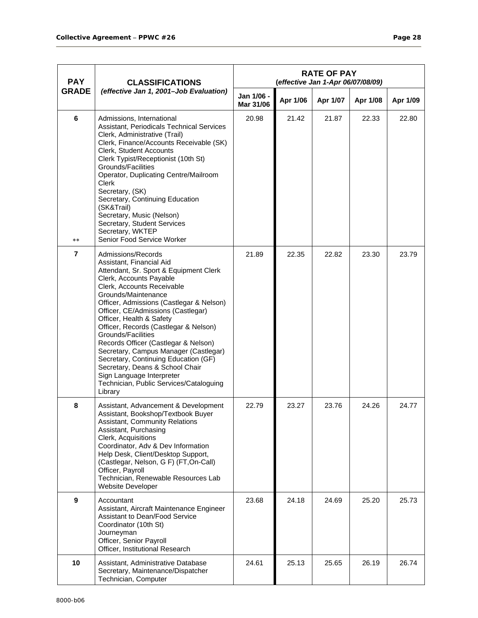| <b>PAY</b>     | <b>CLASSIFICATIONS</b>                                                                                                                                                                                                                                                                                                                                                                                                                                                                                                                                                                               | <b>RATE OF PAY</b><br>(effective Jan 1-Apr 06/07/08/09) |          |          |          |          |  |  |
|----------------|------------------------------------------------------------------------------------------------------------------------------------------------------------------------------------------------------------------------------------------------------------------------------------------------------------------------------------------------------------------------------------------------------------------------------------------------------------------------------------------------------------------------------------------------------------------------------------------------------|---------------------------------------------------------|----------|----------|----------|----------|--|--|
| <b>GRADE</b>   | (effective Jan 1, 2001-Job Evaluation)                                                                                                                                                                                                                                                                                                                                                                                                                                                                                                                                                               | Jan 1/06 -<br>Mar 31/06                                 | Apr 1/06 | Apr 1/07 | Apr 1/08 | Apr 1/09 |  |  |
| 6<br>$**$      | Admissions, International<br>Assistant, Periodicals Technical Services<br>Clerk, Administrative (Trail)<br>Clerk, Finance/Accounts Receivable (SK)<br>Clerk, Student Accounts<br>Clerk Typist/Receptionist (10th St)<br>Grounds/Facilities<br>Operator, Duplicating Centre/Mailroom<br>Clerk<br>Secretary, (SK)<br>Secretary, Continuing Education<br>(SK&Trail)<br>Secretary, Music (Nelson)<br>Secretary, Student Services<br>Secretary, WKTEP<br>Senior Food Service Worker                                                                                                                       | 20.98                                                   | 21.42    | 21.87    | 22.33    | 22.80    |  |  |
| $\overline{7}$ | Admissions/Records<br>Assistant, Financial Aid<br>Attendant, Sr. Sport & Equipment Clerk<br>Clerk, Accounts Payable<br>Clerk, Accounts Receivable<br>Grounds/Maintenance<br>Officer, Admissions (Castlegar & Nelson)<br>Officer, CE/Admissions (Castlegar)<br>Officer, Health & Safety<br>Officer, Records (Castlegar & Nelson)<br>Grounds/Facilities<br>Records Officer (Castlegar & Nelson)<br>Secretary, Campus Manager (Castlegar)<br>Secretary, Continuing Education (GF)<br>Secretary, Deans & School Chair<br>Sign Language Interpreter<br>Technician, Public Services/Cataloguing<br>Library | 21.89                                                   | 22.35    | 22.82    | 23.30    | 23.79    |  |  |
| 8              | Assistant, Advancement & Development<br>Assistant, Bookshop/Textbook Buyer<br><b>Assistant, Community Relations</b><br>Assistant, Purchasing<br>Clerk, Acquisitions<br>Coordinator, Adv & Dev Information<br>Help Desk, Client/Desktop Support,<br>(Castlegar, Nelson, G F) (FT, On-Call)<br>Officer, Payroll<br>Technician, Renewable Resources Lab<br>Website Developer                                                                                                                                                                                                                            | 22.79                                                   | 23.27    | 23.76    | 24.26    | 24.77    |  |  |
| 9              | Accountant<br>Assistant, Aircraft Maintenance Engineer<br><b>Assistant to Dean/Food Service</b><br>Coordinator (10th St)<br>Journeyman<br>Officer, Senior Payroll<br>Officer, Institutional Research                                                                                                                                                                                                                                                                                                                                                                                                 | 23.68                                                   | 24.18    | 24.69    | 25.20    | 25.73    |  |  |
| 10             | Assistant, Administrative Database<br>Secretary, Maintenance/Dispatcher<br>Technician, Computer                                                                                                                                                                                                                                                                                                                                                                                                                                                                                                      | 24.61                                                   | 25.13    | 25.65    | 26.19    | 26.74    |  |  |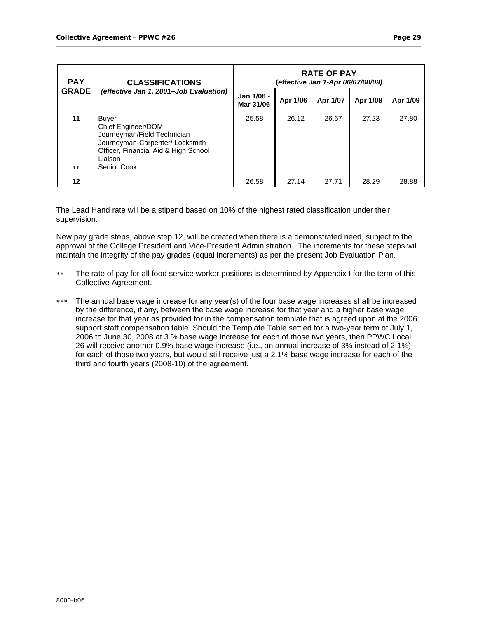| <b>PAY</b>   | <b>RATE OF PAY</b><br>(effective Jan 1-Apr 06/07/08/09)<br><b>CLASSIFICATIONS</b>                                                                               |                         |          |          |          |          |
|--------------|-----------------------------------------------------------------------------------------------------------------------------------------------------------------|-------------------------|----------|----------|----------|----------|
| <b>GRADE</b> | (effective Jan 1, 2001-Job Evaluation)                                                                                                                          | Jan 1/06 -<br>Mar 31/06 | Apr 1/06 | Apr 1/07 | Apr 1/08 | Apr 1/09 |
| 11<br>**     | Buyer<br>Chief Engineer/DOM<br>Journeyman/Field Technician<br>Journeyman-Carpenter/ Locksmith<br>Officer, Financial Aid & High School<br>Liaison<br>Senior Cook | 25.58                   | 26.12    | 26.67    | 27.23    | 27.80    |
| 12           |                                                                                                                                                                 | 26.58                   | 27.14    | 27.71    | 28.29    | 28.88    |

The Lead Hand rate will be a stipend based on 10% of the highest rated classification under their supervision.

New pay grade steps, above step 12, will be created when there is a demonstrated need, subject to the approval of the College President and Vice-President Administration. The increments for these steps will maintain the integrity of the pay grades (equal increments) as per the present Job Evaluation Plan.

- ∗∗ The rate of pay for all food service worker positions is determined by Appendix I for the term of this Collective Agreement.
- ∗∗∗ The annual base wage increase for any year(s) of the four base wage increases shall be increased by the difference, if any, between the base wage increase for that year and a higher base wage increase for that year as provided for in the compensation template that is agreed upon at the 2006 support staff compensation table. Should the Template Table settled for a two-year term of July 1, 2006 to June 30, 2008 at 3 % base wage increase for each of those two years, then PPWC Local 26 will receive another 0.9% base wage increase (i.e., an annual increase of 3% instead of 2.1%) for each of those two years, but would still receive just a 2.1% base wage increase for each of the third and fourth years (2008-10) of the agreement.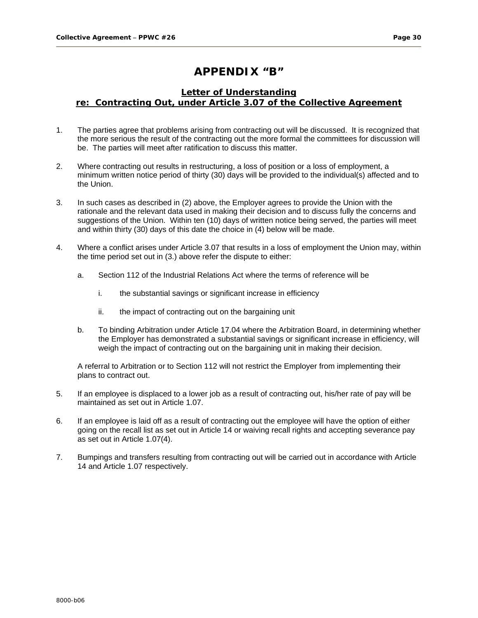# **APPENDIX "B"**

### **Letter of Understanding re: Contracting Out, under Article 3.07 of the Collective Agreement**

- 1. The parties agree that problems arising from contracting out will be discussed. It is recognized that the more serious the result of the contracting out the more formal the committees for discussion will be. The parties will meet after ratification to discuss this matter.
- 2. Where contracting out results in restructuring, a loss of position or a loss of employment, a minimum written notice period of thirty (30) days will be provided to the individual(s) affected and to the Union.
- 3. In such cases as described in (2) above, the Employer agrees to provide the Union with the rationale and the relevant data used in making their decision and to discuss fully the concerns and suggestions of the Union. Within ten (10) days of written notice being served, the parties will meet and within thirty (30) days of this date the choice in (4) below will be made.
- 4. Where a conflict arises under Article 3.07 that results in a loss of employment the Union may, within the time period set out in (3.) above refer the dispute to either:
	- a. Section 112 of the Industrial Relations Act where the terms of reference will be
		- i. the substantial savings or significant increase in efficiency
		- ii. the impact of contracting out on the bargaining unit
	- b. To binding Arbitration under Article 17.04 where the Arbitration Board, in determining whether the Employer has demonstrated a substantial savings or significant increase in efficiency, will weigh the impact of contracting out on the bargaining unit in making their decision.

A referral to Arbitration or to Section 112 will not restrict the Employer from implementing their plans to contract out.

- 5. If an employee is displaced to a lower job as a result of contracting out, his/her rate of pay will be maintained as set out in Article 1.07.
- 6. If an employee is laid off as a result of contracting out the employee will have the option of either going on the recall list as set out in Article 14 or waiving recall rights and accepting severance pay as set out in Article 1.07(4).
- 7. Bumpings and transfers resulting from contracting out will be carried out in accordance with Article 14 and Article 1.07 respectively.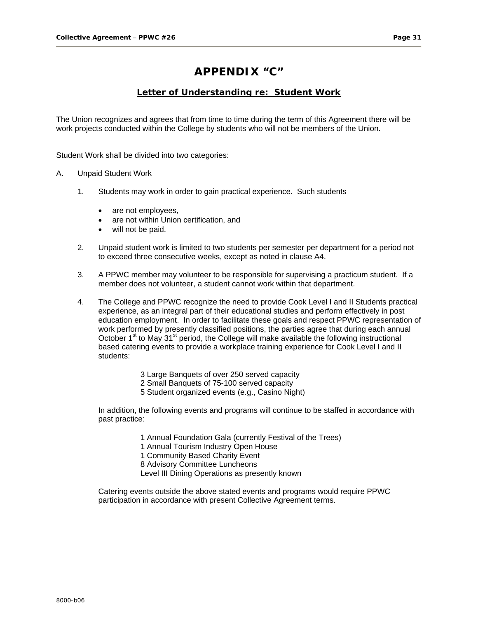# **APPENDIX "C"**

### **Letter of Understanding re: Student Work**

The Union recognizes and agrees that from time to time during the term of this Agreement there will be work projects conducted within the College by students who will not be members of the Union.

Student Work shall be divided into two categories:

#### A. Unpaid Student Work

- 1. Students may work in order to gain practical experience. Such students
	- are not employees,
	- are not within Union certification, and
	- will not be paid.
- 2. Unpaid student work is limited to two students per semester per department for a period not to exceed three consecutive weeks, except as noted in clause A4.
- 3. A PPWC member may volunteer to be responsible for supervising a practicum student. If a member does not volunteer, a student cannot work within that department.
- 4. The College and PPWC recognize the need to provide Cook Level I and II Students practical experience, as an integral part of their educational studies and perform effectively in post education employment. In order to facilitate these goals and respect PPWC representation of work performed by presently classified positions, the parties agree that during each annual October 1<sup>st</sup> to May 31<sup>st</sup> period, the College will make available the following instructional based catering events to provide a workplace training experience for Cook Level I and II students:
	- 3 Large Banquets of over 250 served capacity
	- 2 Small Banquets of 75-100 served capacity
	- 5 Student organized events (e.g., Casino Night)

In addition, the following events and programs will continue to be staffed in accordance with past practice:

1 Annual Foundation Gala (currently Festival of the Trees)

1 Annual Tourism Industry Open House

1 Community Based Charity Event

8 Advisory Committee Luncheons

Level III Dining Operations as presently known

Catering events outside the above stated events and programs would require PPWC participation in accordance with present Collective Agreement terms.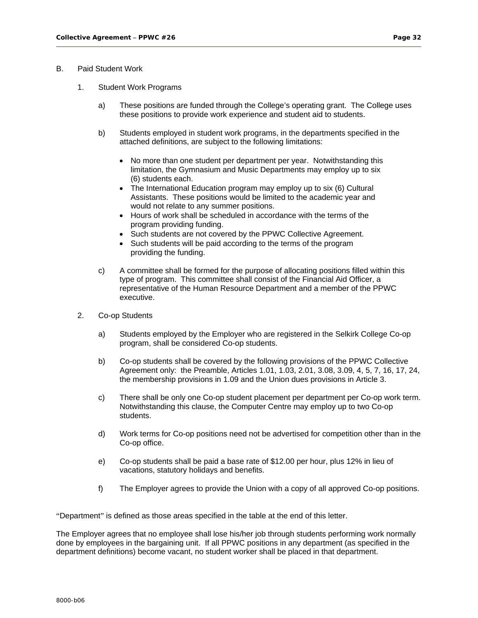#### B. Paid Student Work

- 1. Student Work Programs
	- a) These positions are funded through the College's operating grant. The College uses these positions to provide work experience and student aid to students.
	- b) Students employed in student work programs, in the departments specified in the attached definitions, are subject to the following limitations:
		- No more than one student per department per year. Notwithstanding this limitation, the Gymnasium and Music Departments may employ up to six (6) students each.
		- The International Education program may employ up to six (6) Cultural Assistants. These positions would be limited to the academic year and would not relate to any summer positions.
		- Hours of work shall be scheduled in accordance with the terms of the program providing funding.
		- Such students are not covered by the PPWC Collective Agreement.
		- Such students will be paid according to the terms of the program providing the funding.
	- c) A committee shall be formed for the purpose of allocating positions filled within this type of program. This committee shall consist of the Financial Aid Officer, a representative of the Human Resource Department and a member of the PPWC executive.
- 2. Co-op Students
	- a) Students employed by the Employer who are registered in the Selkirk College Co-op program, shall be considered Co-op students.
	- b) Co-op students shall be covered by the following provisions of the PPWC Collective Agreement only: the Preamble, Articles 1.01, 1.03, 2.01, 3.08, 3.09, 4, 5, 7, 16, 17, 24, the membership provisions in 1.09 and the Union dues provisions in Article 3.
	- c) There shall be only one Co-op student placement per department per Co-op work term. Notwithstanding this clause, the Computer Centre may employ up to two Co-op students.
	- d) Work terms for Co-op positions need not be advertised for competition other than in the Co-op office.
	- e) Co-op students shall be paid a base rate of \$12.00 per hour, plus 12% in lieu of vacations, statutory holidays and benefits.
	- f) The Employer agrees to provide the Union with a copy of all approved Co-op positions.

"Department" is defined as those areas specified in the table at the end of this letter.

The Employer agrees that no employee shall lose his/her job through students performing work normally done by employees in the bargaining unit. If all PPWC positions in any department (as specified in the department definitions) become vacant, no student worker shall be placed in that department.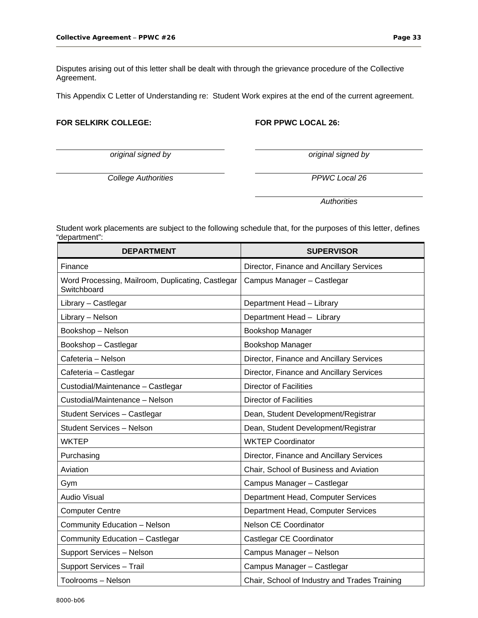Disputes arising out of this letter shall be dealt with through the grievance procedure of the Collective Agreement.

This Appendix C Letter of Understanding re: Student Work expires at the end of the current agreement.

#### FOR SELKIRK COLLEGE: FOR PPWC LOCAL 26:

*original signed by original signed by* 

*College Authorities PPWC Local 26* 

 *Authorities* 

Student work placements are subject to the following schedule that, for the purposes of this letter, defines "department":

| <b>DEPARTMENT</b>                                                | <b>SUPERVISOR</b>                             |
|------------------------------------------------------------------|-----------------------------------------------|
| Finance                                                          | Director, Finance and Ancillary Services      |
| Word Processing, Mailroom, Duplicating, Castlegar<br>Switchboard | Campus Manager - Castlegar                    |
| Library - Castlegar                                              | Department Head - Library                     |
| Library - Nelson                                                 | Department Head - Library                     |
| Bookshop - Nelson                                                | Bookshop Manager                              |
| Bookshop - Castlegar                                             | Bookshop Manager                              |
| Cafeteria - Nelson                                               | Director, Finance and Ancillary Services      |
| Cafeteria - Castlegar                                            | Director, Finance and Ancillary Services      |
| Custodial/Maintenance - Castlegar                                | <b>Director of Facilities</b>                 |
| Custodial/Maintenance - Nelson                                   | <b>Director of Facilities</b>                 |
| Student Services - Castlegar                                     | Dean, Student Development/Registrar           |
| <b>Student Services - Nelson</b>                                 | Dean, Student Development/Registrar           |
| WKTEP                                                            | <b>WKTEP Coordinator</b>                      |
| Purchasing                                                       | Director, Finance and Ancillary Services      |
| Aviation                                                         | Chair, School of Business and Aviation        |
| Gym                                                              | Campus Manager - Castlegar                    |
| <b>Audio Visual</b>                                              | Department Head, Computer Services            |
| <b>Computer Centre</b>                                           | Department Head, Computer Services            |
| Community Education - Nelson                                     | Nelson CE Coordinator                         |
| Community Education - Castlegar                                  | Castlegar CE Coordinator                      |
| Support Services - Nelson                                        | Campus Manager - Nelson                       |
| Support Services - Trail                                         | Campus Manager - Castlegar                    |
| Toolrooms - Nelson                                               | Chair, School of Industry and Trades Training |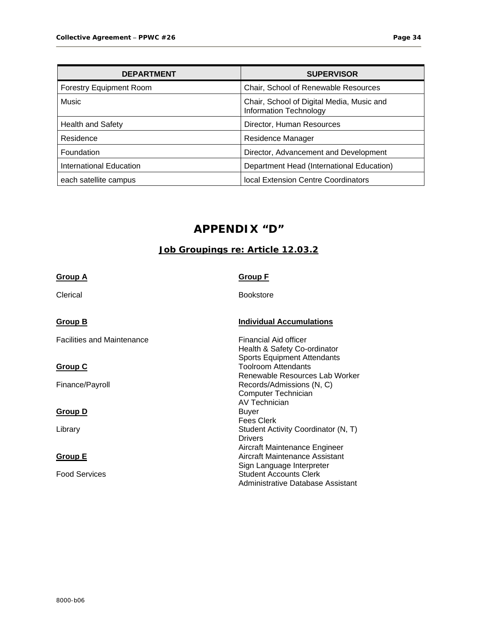| <b>DEPARTMENT</b>              | <b>SUPERVISOR</b>                                                          |
|--------------------------------|----------------------------------------------------------------------------|
| <b>Forestry Equipment Room</b> | Chair, School of Renewable Resources                                       |
| Music                          | Chair, School of Digital Media, Music and<br><b>Information Technology</b> |
| <b>Health and Safety</b>       | Director, Human Resources                                                  |
| Residence                      | Residence Manager                                                          |
| Foundation                     | Director, Advancement and Development                                      |
| International Education        | Department Head (International Education)                                  |
| each satellite campus          | local Extension Centre Coordinators                                        |

# **APPENDIX "D"**

# **Job Groupings re: Article 12.03.2**

| <b>Group A</b>                    | <b>Group F</b>                                                                                     |  |
|-----------------------------------|----------------------------------------------------------------------------------------------------|--|
| Clerical                          | <b>Bookstore</b>                                                                                   |  |
| <b>Group B</b>                    | <b>Individual Accumulations</b>                                                                    |  |
| <b>Facilities and Maintenance</b> | Financial Aid officer<br>Health & Safety Co-ordinator                                              |  |
| <b>Group C</b>                    | <b>Sports Equipment Attendants</b><br><b>Toolroom Attendants</b><br>Renewable Resources Lab Worker |  |
| Finance/Payroll                   | Records/Admissions (N, C)<br>Computer Technician<br>AV Technician                                  |  |
| <b>Group D</b>                    | Buyer<br><b>Fees Clerk</b>                                                                         |  |
| Library                           | Student Activity Coordinator (N, T)<br><b>Drivers</b>                                              |  |
| <u>Group E</u>                    | Aircraft Maintenance Engineer<br>Aircraft Maintenance Assistant<br>Sign Language Interpreter       |  |
| <b>Food Services</b>              | <b>Student Accounts Clerk</b><br>Administrative Database Assistant                                 |  |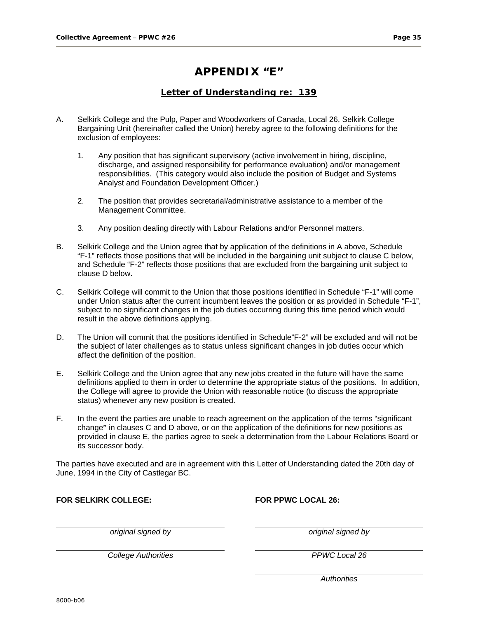# **APPENDIX "E"**

# **Letter of Understanding re: 139**

- A. Selkirk College and the Pulp, Paper and Woodworkers of Canada, Local 26, Selkirk College Bargaining Unit (hereinafter called the Union) hereby agree to the following definitions for the exclusion of employees:
	- 1. Any position that has significant supervisory (active involvement in hiring, discipline, discharge, and assigned responsibility for performance evaluation) and/or management responsibilities. (This category would also include the position of Budget and Systems Analyst and Foundation Development Officer.)
	- 2. The position that provides secretarial/administrative assistance to a member of the Management Committee.
	- 3. Any position dealing directly with Labour Relations and/or Personnel matters.
- B. Selkirk College and the Union agree that by application of the definitions in A above, Schedule "F-1" reflects those positions that will be included in the bargaining unit subject to clause C below, and Schedule "F-2" reflects those positions that are excluded from the bargaining unit subject to clause D below.
- C. Selkirk College will commit to the Union that those positions identified in Schedule "F-1" will come under Union status after the current incumbent leaves the position or as provided in Schedule "F-1", subject to no significant changes in the job duties occurring during this time period which would result in the above definitions applying.
- D. The Union will commit that the positions identified in Schedule"F-2" will be excluded and will not be the subject of later challenges as to status unless significant changes in job duties occur which affect the definition of the position.
- E. Selkirk College and the Union agree that any new jobs created in the future will have the same definitions applied to them in order to determine the appropriate status of the positions. In addition, the College will agree to provide the Union with reasonable notice (to discuss the appropriate status) whenever any new position is created.
- F. In the event the parties are unable to reach agreement on the application of the terms "significant change" in clauses C and D above, or on the application of the definitions for new positions as provided in clause E, the parties agree to seek a determination from the Labour Relations Board or its successor body.

The parties have executed and are in agreement with this Letter of Understanding dated the 20th day of June, 1994 in the City of Castlegar BC.

**FOR SELKIRK COLLEGE: FOR PPWC LOCAL 26:** 

*original signed by original signed by* 

*College Authorities PPWC Local 26*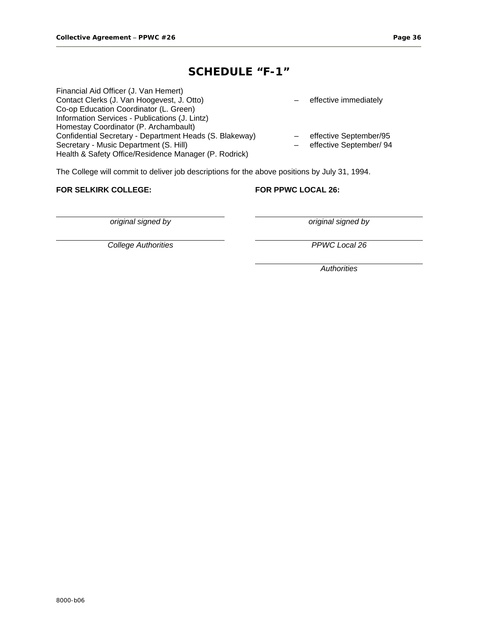# **SCHEDULE "F-1"**

| Financial Aid Officer (J. Van Hemert)                   |                         |
|---------------------------------------------------------|-------------------------|
| Contact Clerks (J. Van Hoogevest, J. Otto)              | effective immediately   |
| Co-op Education Coordinator (L. Green)                  |                         |
| Information Services - Publications (J. Lintz)          |                         |
| Homestay Coordinator (P. Archambault)                   |                         |
| Confidential Secretary - Department Heads (S. Blakeway) | effective September/95  |
| Secretary - Music Department (S. Hill)                  | effective September/ 94 |
| Health & Safety Office/Residence Manager (P. Rodrick)   |                         |

The College will commit to deliver job descriptions for the above positions by July 31, 1994.

#### **FOR SELKIRK COLLEGE: FOR PPWC LOCAL 26:**

*College Authorities PPWC Local 26* 

*original signed by original signed by*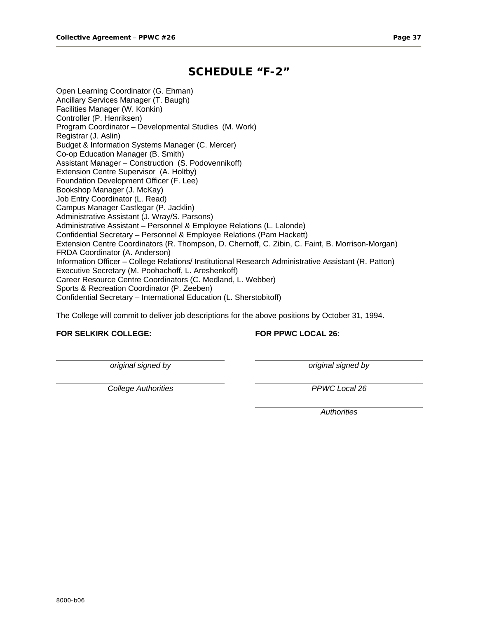# **SCHEDULE "F-2"**

Open Learning Coordinator (G. Ehman) Ancillary Services Manager (T. Baugh) Facilities Manager (W. Konkin) Controller (P. Henriksen) Program Coordinator – Developmental Studies (M. Work) Registrar (J. Aslin) Budget & Information Systems Manager (C. Mercer) Co-op Education Manager (B. Smith) Assistant Manager – Construction (S. Podovennikoff) Extension Centre Supervisor (A. Holtby) Foundation Development Officer (F. Lee) Bookshop Manager (J. McKay) Job Entry Coordinator (L. Read) Campus Manager Castlegar (P. Jacklin) Administrative Assistant (J. Wray/S. Parsons) Administrative Assistant – Personnel & Employee Relations (L. Lalonde) Confidential Secretary – Personnel & Employee Relations (Pam Hackett) Extension Centre Coordinators (R. Thompson, D. Chernoff, C. Zibin, C. Faint, B. Morrison-Morgan) FRDA Coordinator (A. Anderson) Information Officer – College Relations/ Institutional Research Administrative Assistant (R. Patton) Executive Secretary (M. Poohachoff, L. Areshenkoff) Career Resource Centre Coordinators (C. Medland, L. Webber) Sports & Recreation Coordinator (P. Zeeben) Confidential Secretary – International Education (L. Sherstobitoff)

The College will commit to deliver job descriptions for the above positions by October 31, 1994.

#### **FOR SELKIRK COLLEGE: FOR PPWC LOCAL 26:**

*original signed by original signed by* 

*College Authorities PPWC Local 26*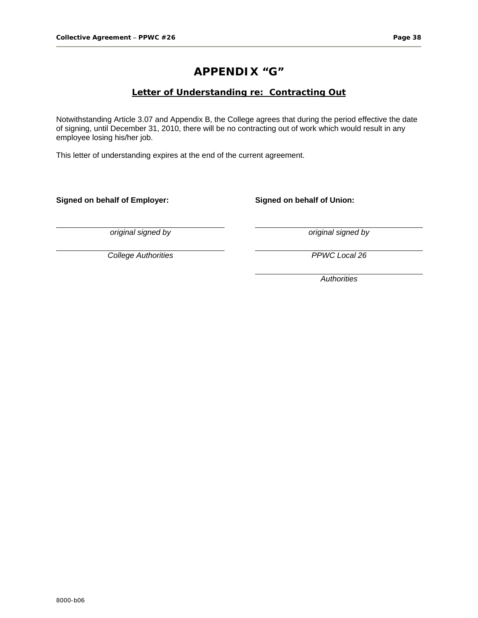# **APPENDIX "G"**

# **Letter of Understanding re: Contracting Out**

Notwithstanding Article 3.07 and Appendix B, the College agrees that during the period effective the date of signing, until December 31, 2010, there will be no contracting out of work which would result in any employee losing his/her job.

This letter of understanding expires at the end of the current agreement.

**Signed on behalf of Employer: Signed on behalf of Union:** 

*original signed by original signed by* 

*College Authorities PPWC Local 26*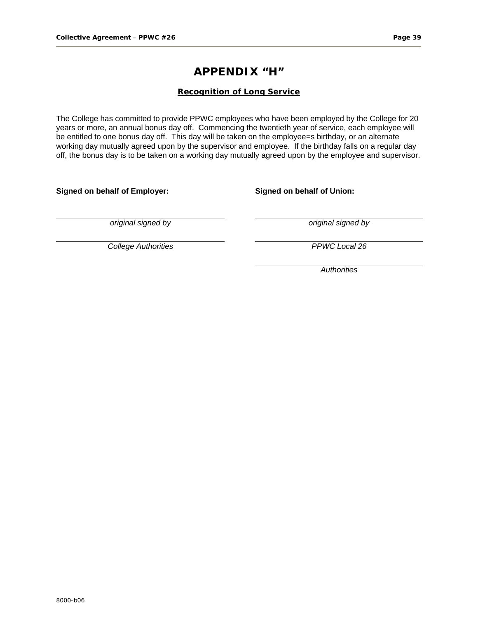# **APPENDIX "H"**

#### **Recognition of Long Service**

The College has committed to provide PPWC employees who have been employed by the College for 20 years or more, an annual bonus day off. Commencing the twentieth year of service, each employee will be entitled to one bonus day off. This day will be taken on the employee=s birthday, or an alternate working day mutually agreed upon by the supervisor and employee. If the birthday falls on a regular day off, the bonus day is to be taken on a working day mutually agreed upon by the employee and supervisor.

**Signed on behalf of Employer: Signed on behalf of Union:** 

*original signed by original signed by* 

*College Authorities PPWC Local 26*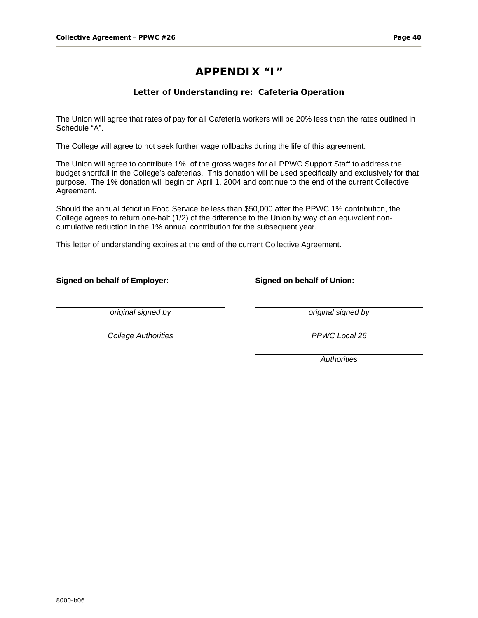# **APPENDIX "I"**

### **Letter of Understanding re: Cafeteria Operation**

The Union will agree that rates of pay for all Cafeteria workers will be 20% less than the rates outlined in Schedule "A".

The College will agree to not seek further wage rollbacks during the life of this agreement.

The Union will agree to contribute 1% of the gross wages for all PPWC Support Staff to address the budget shortfall in the College's cafeterias. This donation will be used specifically and exclusively for that purpose. The 1% donation will begin on April 1, 2004 and continue to the end of the current Collective Agreement.

Should the annual deficit in Food Service be less than \$50,000 after the PPWC 1% contribution, the College agrees to return one-half (1/2) of the difference to the Union by way of an equivalent noncumulative reduction in the 1% annual contribution for the subsequent year.

This letter of understanding expires at the end of the current Collective Agreement.

#### **Signed on behalf of Employer: Signed on behalf of Union:**

*original signed by original signed by* 

*College Authorities PPWC Local 26*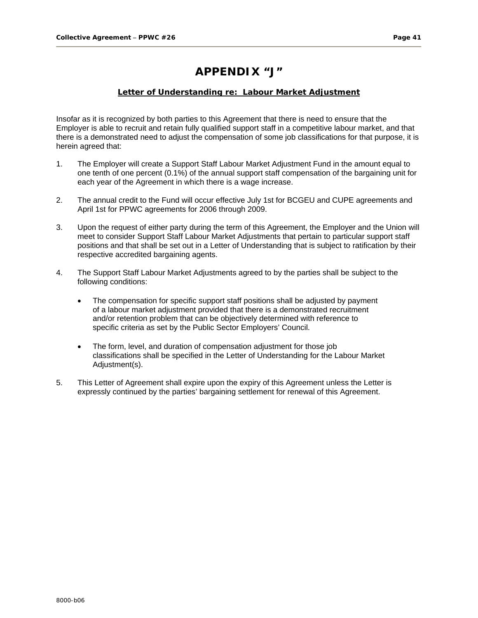# **APPENDIX "J"**

#### **Letter of Understanding re: Labour Market Adjustment**

Insofar as it is recognized by both parties to this Agreement that there is need to ensure that the Employer is able to recruit and retain fully qualified support staff in a competitive labour market, and that there is a demonstrated need to adjust the compensation of some job classifications for that purpose, it is herein agreed that:

- 1. The Employer will create a Support Staff Labour Market Adjustment Fund in the amount equal to one tenth of one percent (0.1%) of the annual support staff compensation of the bargaining unit for each year of the Agreement in which there is a wage increase.
- 2. The annual credit to the Fund will occur effective July 1st for BCGEU and CUPE agreements and April 1st for PPWC agreements for 2006 through 2009.
- 3. Upon the request of either party during the term of this Agreement, the Employer and the Union will meet to consider Support Staff Labour Market Adjustments that pertain to particular support staff positions and that shall be set out in a Letter of Understanding that is subject to ratification by their respective accredited bargaining agents.
- 4. The Support Staff Labour Market Adjustments agreed to by the parties shall be subject to the following conditions:
	- The compensation for specific support staff positions shall be adjusted by payment of a labour market adjustment provided that there is a demonstrated recruitment and/or retention problem that can be objectively determined with reference to specific criteria as set by the Public Sector Employers' Council.
	- The form, level, and duration of compensation adjustment for those job classifications shall be specified in the Letter of Understanding for the Labour Market Adjustment(s).
- 5. This Letter of Agreement shall expire upon the expiry of this Agreement unless the Letter is expressly continued by the parties' bargaining settlement for renewal of this Agreement.